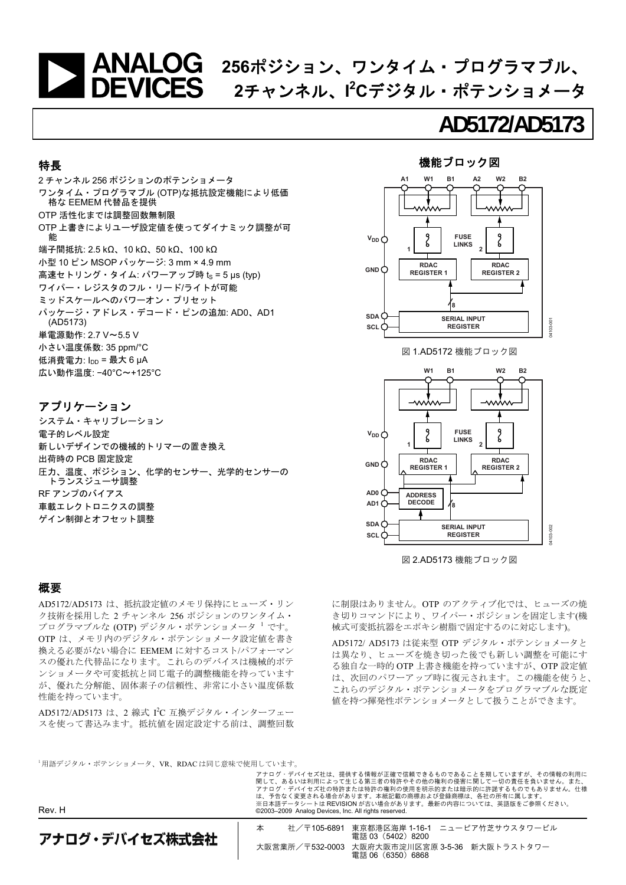# **256**ポジション、ワンタイム・プログラマブル、 **2**チャンネル、**I 2 C**デジタル・ポテンショメータ

# **AD5172/AD5173**

#### <span id="page-0-0"></span>特長

2 チャンネル 256 ポジションのポテンショメータ ワンタイム・プログラマブル (OTP)な抵抗設定機能により低価 格な EEMEM 代替品を提供 OTP 活性化までは調整回数無制限 OTP 上書きによりユーザ設定値を使ってダイナミック調整が可 能 端子間抵抗: 2.5 kΩ、10 kΩ、50 kΩ、100 kΩ 小型 10 ピン MSOP パッケージ: 3 mm × 4.9 mm 高速セトリング・タイム: パワーアップ時 ts = 5 µs (typ) ワイパー・レジスタのフル・リード/ライトが可能 ミッドスケールへのパワーオン・プリセット パッケージ・アドレス・デコード・ピンの追加: AD0、AD1 (AD5173) 単電源動作: 2.7 V~5.5 V 小さい温度係数: 35 ppm/°C 低消費電力:  $I_{DD}$  = 最大 6  $\mu$ A 広い動作温度: −40°C~+125°C

#### <span id="page-0-1"></span>アプリケーション

システム・キャリブレーション 電子的レベル設定 新しいデザインでの機械的トリマーの置き換え 出荷時の PCB 固定設定 圧力、温度、ポジション、化学的センサー、光学的センサーの トランスジューサ調整 RF アンプのバイアス 車載エレクトロニクスの調整 ゲイン制御とオフセット調整

#### **A1 W1 B1 A2 W2 B2 AA**  $\begin{array}{c} \n\text{PUSE} \\ \n\text{LINKS} \n\end{array}$ **FUSE** 9 **V<sub>DD</sub>** ۷ **RDAC RDAC GND REGISTER 1 REGISTER 2 / 8 SDA SERIAL INPUT** 04103-001 **SCL REGISTER** 図 1.AD5172 機能ブロック図 **W1 B1 W2 B2** ,,,,,,,  $\begin{array}{c|c|c|c|c} & 9 & & \text{FUSE} \\ & 2 & & \text{LINKS} \\ & & & & \end{array}$ **FUSE**  $\zeta$  $V_{DD}C$ **RDAC RDAC** GND<sup>C</sup> **REGISTER 1 REGISTER 2**

機能ブロック図

**AD1 DECODE SERIAL INPUT REGISTER / 8**

04103-002

**ADDRESS**

**SDA SCL**

**AD0**

図 2.AD5173 機能ブロック図

に制限はありません。OTP のアクティブ化では、ヒューズの焼 き切りコマンドにより、ワイパー・ポジションを固定します(機 械式可変抵抗器をエポキシ樹脂で固定するのに対応します)。

AD5172/ AD5173 は従来型 OTP デジタル・ポテンショメータと は異なり、ヒューズを焼き切った後でも新しい調整を可能にす る独自な一時的 OTP 上書き機能を持っていますが、OTP 設定値 は、次回のパワーアップ時に復元されます。この機能を使うと、 これらのデジタル・ポテンショメータをプログラマブルな既定 値を持つ揮発性ポテンショメータとして扱うことができます。

AD5172/AD5173 は、2 線式 I<sup>2</sup>C 互換デジタル・インターフェー スを使って書込みます。抵抗値を固定設定する前は、調整回数

1用語デジタル・ポテンショメータ、VR、RDAC は同じ意味で使用しています。

アナログ・デバイセズ社は、提供する情報が正確で信頼できるものであることを期していますが、その情報の利用に<br>関して、あるいは利用によって生じる第三者の特許やその他の権利の侵害に関して一切の責任を負いません。また、<br>アナログ・デバイセズ社の特許または特許の権利の使用を明示的または暗示的に許諾するものでもありません。仕様 は、予告なく変更される場合があります。本紙記載の商標および登録商標は、各社の所有に属します。 ※日本語データシートは REVISION が古い場合があります。最新の内容については、英語版をご参照ください。 ©2003–2009 Analog Devices, Inc. All rights reserved.

Rev. H

アナログ・デバイセズ株式会社

本 社/〒105-6891 東京都港区海岸 1-16-1 ニューピア竹芝サウスタワービル 電話 03 (5402) 8200 大阪営業所/〒532-0003 大阪府大阪市淀川区宮原 3-5-36 新大阪トラストタワー 電話 06(6350)6868

<span id="page-0-2"></span>

概要 AD5172/AD5173 は、抵抗設定値のメモリ保持にヒューズ・リン ク技術を採用した 2 チャンネル 256 ポジションのワンタイム・

プログラマブルな (OTP) デジタル・ポテンショメータ <sup>1</sup> です。 OTP は、メモリ内のデジタル・ポテンショメータ設定値を書き 換える必要がない場合に EEMEM に対するコスト/パフォーマン スの優れた代替品になります。これらのデバイスは機械的ポテ ンショメータや可変抵抗と同じ電子的調整機能を持っています が、優れた分解能、固体素子の信頼性、非常に小さい温度係数 性能を持っています。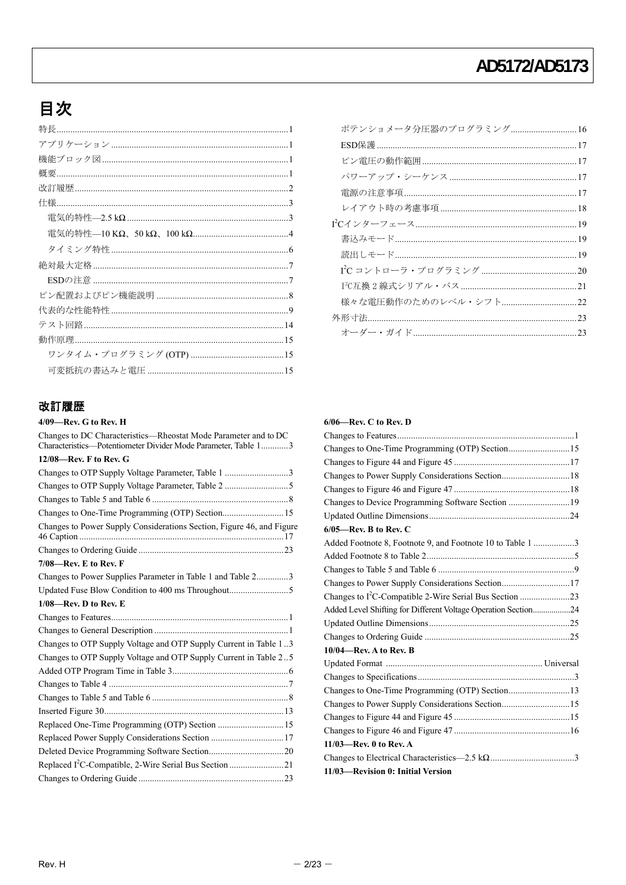# 目次

### <span id="page-1-0"></span>改訂履歴

| $4/09$ —Rev. G to Rev. H                                                                                                          |
|-----------------------------------------------------------------------------------------------------------------------------------|
| Changes to DC Characteristics-Rheostat Mode Parameter and to DC<br>Characteristics-Potentiometer Divider Mode Parameter, Table 13 |
| $12/08$ —Rev. F to Rev. G                                                                                                         |
|                                                                                                                                   |
|                                                                                                                                   |
|                                                                                                                                   |
|                                                                                                                                   |
| Changes to Power Supply Considerations Section, Figure 46, and Figure                                                             |
|                                                                                                                                   |
| $7/08$ —Rev. E to Rev. F                                                                                                          |
| Changes to Power Supplies Parameter in Table 1 and Table 23                                                                       |
|                                                                                                                                   |
| $1/08$ —Rev. D to Rev. E                                                                                                          |
|                                                                                                                                   |
|                                                                                                                                   |
| Changes to OTP Supply Voltage and OTP Supply Current in Table 13                                                                  |
| Changes to OTP Supply Voltage and OTP Supply Current in Table 25                                                                  |
|                                                                                                                                   |
|                                                                                                                                   |
|                                                                                                                                   |
|                                                                                                                                   |
| Replaced One-Time Programming (OTP) Section  15                                                                                   |
|                                                                                                                                   |
|                                                                                                                                   |
|                                                                                                                                   |
|                                                                                                                                   |

| ポテンショメータ分圧器のプログラミング16 |  |
|-----------------------|--|
|                       |  |
|                       |  |
|                       |  |
|                       |  |
|                       |  |
|                       |  |
|                       |  |
|                       |  |
|                       |  |
|                       |  |
|                       |  |
|                       |  |
|                       |  |
|                       |  |

#### **6/06—Rev. C to Rev. D**

| Changes to One-Time Programming (OTP) Section15                    |  |
|--------------------------------------------------------------------|--|
|                                                                    |  |
| Changes to Power Supply Considerations Section18                   |  |
|                                                                    |  |
| Changes to Device Programming Software Section 19                  |  |
|                                                                    |  |
| $6/05$ —Rev. B to Rev. C                                           |  |
| Added Footnote 8, Footnote 9, and Footnote 10 to Table 1 3         |  |
|                                                                    |  |
|                                                                    |  |
| Changes to Power Supply Considerations Section17                   |  |
| Changes to <sup>12</sup> C-Compatible 2-Wire Serial Bus Section 23 |  |
| Added Level Shifting for Different Voltage Operation Section24     |  |
|                                                                    |  |
|                                                                    |  |
| $10/04$ —Rev. A to Rev. B                                          |  |
|                                                                    |  |
|                                                                    |  |
|                                                                    |  |
| Changes to Power Supply Considerations Section15                   |  |
|                                                                    |  |
|                                                                    |  |
| $11/03$ —Rev. 0 to Rev. A                                          |  |
|                                                                    |  |
| 11/03—Revision 0: Initial Version                                  |  |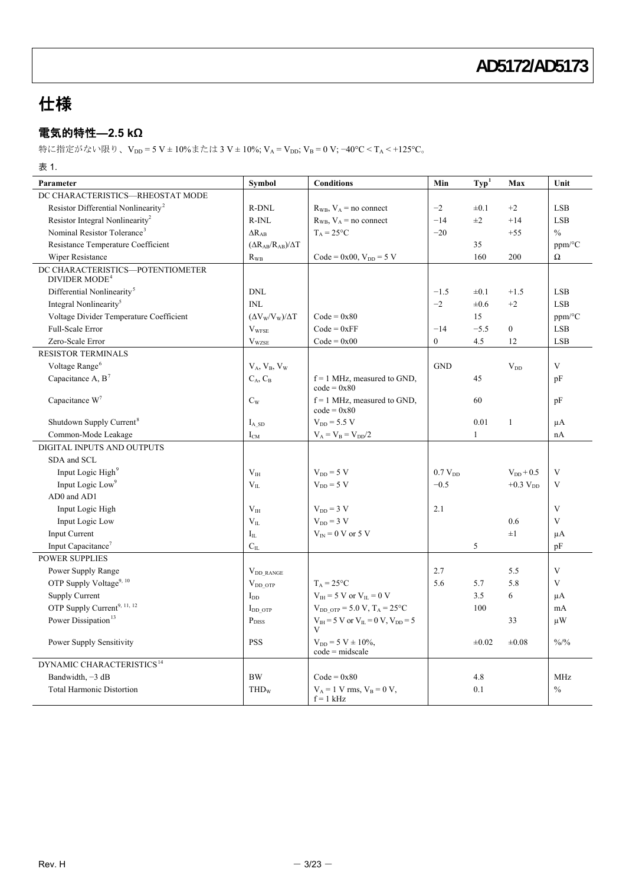# 仕様

### <span id="page-2-1"></span>電気的特性**—2.5 kΩ**

特に指定がない限り、V<sub>DD</sub> = 5 V ± 10%または 3 V ± 10%; V<sub>A</sub> = V<sub>DD</sub>; V<sub>B</sub> = 0 V; -40°C < T<sub>A</sub> < +125°C。

表 1.

<span id="page-2-6"></span><span id="page-2-5"></span><span id="page-2-4"></span><span id="page-2-3"></span><span id="page-2-2"></span><span id="page-2-0"></span>

| Parameter                                                     | Symbol                            | <b>Conditions</b>                               | Min                 | Typ <sup>1</sup> | Max                    | Unit                      |
|---------------------------------------------------------------|-----------------------------------|-------------------------------------------------|---------------------|------------------|------------------------|---------------------------|
| DC CHARACTERISTICS-RHEOSTAT MODE                              |                                   |                                                 |                     |                  |                        |                           |
| Resistor Differential Nonlinearity <sup>2</sup>               | R-DNL                             | $R_{WB}$ , $V_A$ = no connect                   | $-2$                | $\pm 0.1$        | $+2$                   | <b>LSB</b>                |
| Resistor Integral Nonlinearity <sup>2</sup>                   | $R$ - $INL$                       | $R_{WB}$ , $V_A$ = no connect                   | $-14$               | $\pm 2$          | $+14$                  | <b>LSB</b>                |
| Nominal Resistor Tolerance <sup>3</sup>                       | $\Delta R_{AB}$                   | $T_A = 25$ °C                                   | $-20$               |                  | $+55$                  | $\frac{0}{0}$             |
| Resistance Temperature Coefficient                            | $(\Delta R_{AB}/R_{AB})/\Delta T$ |                                                 |                     | 35               |                        | ppm/°C                    |
| Wiper Resistance                                              | $R_{\rm WB}$                      | $Code = 0x00, V_{DD} = 5 V$                     |                     | 160              | 200                    | Ω                         |
| DC CHARACTERISTICS-POTENTIOMETER<br>DIVIDER MODE <sup>4</sup> |                                   |                                                 |                     |                  |                        |                           |
| Differential Nonlinearity <sup>5</sup>                        | <b>DNL</b>                        |                                                 | $-1.5$              | $\pm 0.1$        | $+1.5$                 | <b>LSB</b>                |
| Integral Nonlinearity <sup>5</sup>                            | <b>INL</b>                        |                                                 | $-2$                | $\pm 0.6$        | $+2$                   | <b>LSB</b>                |
| Voltage Divider Temperature Coefficient                       | $(\Delta V_{W}/V_{W})/\Delta T$   | $Code = 0x80$                                   |                     | 15               |                        | $ppm$ <sup>o</sup> C      |
| Full-Scale Error                                              | $V_{WFSE}$                        | $Code = 0xFF$                                   | $-14$               | $-5.5$           | $\bf{0}$               | <b>LSB</b>                |
| Zero-Scale Error                                              | $V_{WZSE}$                        | $Code = 0x00$                                   | $\overline{0}$      | 4.5              | 12                     | <b>LSB</b>                |
| <b>RESISTOR TERMINALS</b>                                     |                                   |                                                 |                     |                  |                        |                           |
| Voltage Range <sup>6</sup>                                    | $V_A$ , $V_B$ , $V_W$             |                                                 | <b>GND</b>          |                  | $V_{DD}$               | V                         |
| Capacitance A, $B^7$                                          | $C_{\rm A},$ $C_{\rm B}$          | $f = 1$ MHz, measured to GND,<br>$code = 0x80$  |                     | 45               |                        | pF                        |
| Capacitance $W^7$                                             | $C_{W}$                           | $f = 1$ MHz, measured to GND,<br>$code = 0x80$  |                     | 60               |                        | pF                        |
| Shutdown Supply Current <sup>8</sup>                          | $I_A$ sp                          | $V_{DD} = 5.5 V$                                |                     | 0.01             | $\mathbf{1}$           | μA                        |
| Common-Mode Leakage                                           | $I_{CM}$                          | $V_A = V_B = V_{DD}/2$                          |                     | $\mathbf{1}$     |                        | nA                        |
| DIGITAL INPUTS AND OUTPUTS                                    |                                   |                                                 |                     |                  |                        |                           |
| SDA and SCL                                                   |                                   |                                                 |                     |                  |                        |                           |
| Input Logic High <sup>9</sup>                                 | V <sub>IH</sub>                   | $V_{DD} = 5 V$                                  | 0.7 V <sub>DD</sub> |                  | $V_{DD}$ + 0.5         | V                         |
| Input Logic Low <sup>9</sup>                                  | $V_{IL}$                          | $V_{DD} = 5 V$                                  | $-0.5$              |                  | $+0.3$ V <sub>DD</sub> | V                         |
| AD0 and AD1                                                   |                                   |                                                 |                     |                  |                        |                           |
| Input Logic High                                              | V <sub>IH</sub>                   | $V_{DD}$ = 3 V                                  | 2.1                 |                  |                        | V                         |
| Input Logic Low                                               | $V_{II}$                          | $V_{DD} = 3 V$                                  |                     |                  | 0.6                    | V                         |
| Input Current                                                 | $I_{\rm IL}$                      | $V_{IN}$ = 0 V or 5 V                           |                     |                  | $\pm 1$                | μA                        |
| Input Capacitance <sup>7</sup>                                | $C_{\rm IL}$                      |                                                 |                     | 5                |                        | pF                        |
| <b>POWER SUPPLIES</b>                                         |                                   |                                                 |                     |                  |                        |                           |
| Power Supply Range                                            | V <sub>DD</sub> RANGE             |                                                 | 2.7                 |                  | 5.5                    | V                         |
| OTP Supply Voltage <sup>9, 10</sup>                           | $V_{DD OTP}$                      | $T_A = 25$ °C                                   | 5.6                 | 5.7              | 5.8                    | V                         |
| <b>Supply Current</b>                                         | $I_{DD}$                          | $V_{\text{IH}} = 5 V$ or $V_{\text{IL}} = 0 V$  |                     | 3.5              | 6                      | μA                        |
| OTP Supply Current <sup>9, 11, 12</sup>                       | $I_{DD OTP}$                      | $V_{DD OTP}$ = 5.0 V, T <sub>A</sub> = 25°C     |                     | 100              |                        | mA                        |
| Power Dissipation <sup>13</sup>                               | $P_{DISS}$                        | $V_{IH} = 5 V$ or $V_{IL} = 0 V$ , $V_{DD} = 5$ |                     |                  | 33                     | μW                        |
| <b>Power Supply Sensitivity</b>                               | <b>PSS</b>                        | $V_{DD} = 5 V \pm 10\%$ ,<br>$code = midscale$  |                     | $\pm 0.02$       | $\pm 0.08$             | $\frac{0}{0}/\frac{0}{0}$ |
| DYNAMIC CHARACTERISTICS <sup>14</sup>                         |                                   |                                                 |                     |                  |                        |                           |
| Bandwidth, -3 dB                                              | <b>BW</b>                         | $Code = 0x80$                                   |                     | 4.8              |                        | <b>MHz</b>                |
| <b>Total Harmonic Distortion</b>                              | <b>THD<sub>w</sub></b>            | $V_A = 1$ V rms, $V_B = 0$ V,<br>$f = 1$ kHz    |                     | 0.1              |                        | $\frac{0}{0}$             |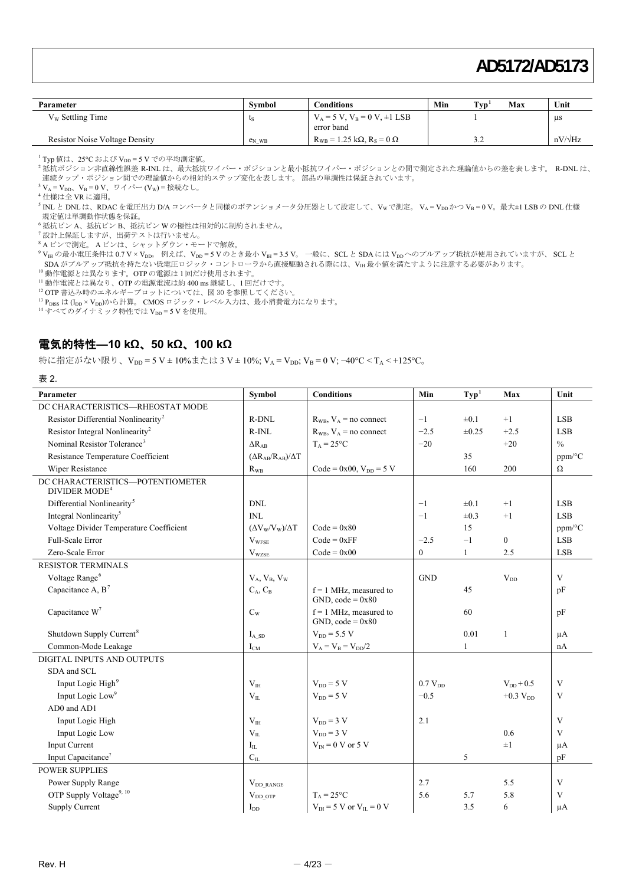| Parameter                             | Symbol               | Conditions                                            | Min | $T_{VD}$ | Max | Unit           |
|---------------------------------------|----------------------|-------------------------------------------------------|-----|----------|-----|----------------|
| $V_W$ Settling Time                   |                      | $V_A = 5 V$ , $V_B = 0 V$ , $\pm 1$ LSB<br>error band |     |          |     | μs             |
| <b>Resistor Noise Voltage Density</b> | $e_N$ w <sub>B</sub> | $R_{WB} = 1.25 k\Omega$ , $R_s = 0 \Omega$            |     | <u>.</u> |     | $nV/\sqrt{Hz}$ |

<sup>1</sup> Typ 値は、25℃および V<sub>DD</sub> = 5 V での平均測定値。

<span id="page-3-2"></span><span id="page-3-1"></span><sup>2</sup> 抵抗ポジション非直線性誤差 R-INL は、最大抵抗ワイパー・ポジションと最小抵抗ワイパー・ポジションとの間で測定された理論値からの差を表します。 R-DNL は、 連続タップ・ポジション間での理論値からの相対的ステップ変化を表します。 部品の単調性は保証されています。

<span id="page-3-3"></span> $3V_A = V_{DD}$ 、 $V_B = 0 V$ 、ワイパー (V<sub>W</sub>) = 接続なし。

<span id="page-3-4"></span><sup>4</sup> 仕様は全 VR に適用。

<span id="page-3-5"></span><sup>5</sup> INL と DNL は、RDAC を電圧出力 D/A コンバータと同様のポテンショメータ分圧器として設定して、V<sub>W</sub> で測定。 V<sub>A</sub> = V<sub>DD</sub> かつ V<sub>B</sub> = 0 V。最大±1 LSB の DNL 仕様 規定値は単調動作状態を保証

<span id="page-3-6"></span> $6$ 抵抗ピンA、抵抗ピンB、抵抗ピンWの極性は相対的に制約されません。

<span id="page-3-7"></span><sup>7</sup> 設計上保証しますが、出荷テストは行いません。

<span id="page-3-8"></span>8 A ピンで測定。 A ピンは、シャットダウン・モードで解放。

<span id="page-3-9"></span><sup>9</sup> V<sub>IH</sub> の最小電圧条件は 0.7 V × V<sub>DD</sub>。 例えば、V<sub>DD</sub> = 5 V のとき最小 V<sub>IH</sub> = 3.5 V。 一般に、SCL と SDA には V<sub>DD</sub> へのプルアップ抵抗が使用されていますが、 SCL と SDA がプルアップ抵抗を持たない低電圧ロジック・コントローラから直接駆動される際には、V<sub>IH</sub> 最小値を満たすように注意する必要があります。

<span id="page-3-10"></span><sup>10</sup> 動作電源とは異なります。OTP の電源は 1 回だけ使用されます。

<span id="page-3-11"></span> $11$ 動作電流とは異なり、OTP の電源電流は約 400 ms 継続し、1回だけです。

<span id="page-3-12"></span>12 OTP 書込み時のエネルギープロットについては、図 30 を参照してください。

<span id="page-3-13"></span> $^{13}$   $P_{\text{DISS}}$ は $(I_{\text{DD}} \times V_{\text{DD}})$ から計算。 CMOS ロジック・レベル入力は、最小消費電力になります。

<span id="page-3-14"></span>14 すべてのダイナミック特性では V<sub>DD</sub> = 5 V を使用。

#### <span id="page-3-0"></span>電気的特性**—10 kΩ**、**50 kΩ**、**100 kΩ**

特に指定がない限り、V<sub>DD</sub> = 5 V ± 10%または 3 V ± 10%; V<sub>A</sub> = V<sub>DD</sub>; V<sub>B</sub> = 0 V; -40°C < T<sub>A</sub> < +125°C。

#### 表 2.

<span id="page-3-19"></span><span id="page-3-18"></span><span id="page-3-17"></span><span id="page-3-16"></span><span id="page-3-15"></span>

| Parameter                                                     | Symbol                            | <b>Conditions</b>                                 | Min                 | $\text{Typ}^1$ | Max                    | Unit                   |
|---------------------------------------------------------------|-----------------------------------|---------------------------------------------------|---------------------|----------------|------------------------|------------------------|
| DC CHARACTERISTICS-RHEOSTAT MODE                              |                                   |                                                   |                     |                |                        |                        |
| Resistor Differential Nonlinearity <sup>2</sup>               | R-DNL                             | $R_{WB}$ , $V_A$ = no connect                     | $-1$                | $\pm 0.1$      | $+1$                   | <b>LSB</b>             |
| Resistor Integral Nonlinearity <sup>2</sup>                   | $R$ -INL                          | $R_{WB}$ , $V_A$ = no connect                     | $-2.5$              | $\pm 0.25$     | $+2.5$                 | <b>LSB</b>             |
| Nominal Resistor Tolerance <sup>3</sup>                       | $\Delta R_{AB}$                   | $T_A = 25^{\circ}C$                               | $-20$               |                | $+20$                  | $\frac{0}{0}$          |
| Resistance Temperature Coefficient                            | $(\Delta R_{AB}/R_{AB})/\Delta T$ |                                                   |                     | 35             |                        | ppm/°C                 |
| Wiper Resistance                                              | $R_{WB}$                          | $Code = 0x00, VDD = 5 V$                          |                     | 160            | 200                    | $\Omega$               |
| DC CHARACTERISTICS-POTENTIOMETER<br>DIVIDER MODE <sup>4</sup> |                                   |                                                   |                     |                |                        |                        |
| Differential Nonlinearity <sup>5</sup>                        | <b>DNL</b>                        |                                                   | $-1$                | $\pm 0.1$      | $+1$                   | <b>LSB</b>             |
| Integral Nonlinearity <sup>5</sup>                            | INL                               |                                                   | $-1$                | $\pm 0.3$      | $+1$                   | <b>LSB</b>             |
| Voltage Divider Temperature Coefficient                       | $(\Delta V_{W}/V_{W})/\Delta T$   | $Code = 0x80$                                     |                     | 15             |                        | $ppm$ <sup>o</sup> $C$ |
| Full-Scale Error                                              | <b>VWFSE</b>                      | $Code = 0xFF$                                     | $-2.5$              | $-1$           | $\boldsymbol{0}$       | <b>LSB</b>             |
| Zero-Scale Error                                              | $V_{WZSE}$                        | $Code = 0x00$                                     | $\overline{0}$      | $\mathbf{1}$   | 2.5                    | <b>LSB</b>             |
| <b>RESISTOR TERMINALS</b>                                     |                                   |                                                   |                     |                |                        |                        |
| Voltage Range <sup>6</sup>                                    | $V_A$ , $V_B$ , $V_W$             |                                                   | <b>GND</b>          |                | $V_{DD}$               | V                      |
| Capacitance A, $B^7$                                          | $C_A, C_B$                        | $f = 1$ MHz, measured to<br>$GND$ , code = $0x80$ |                     | 45             |                        | pF                     |
| Capacitance $W^7$                                             | $C_{W}$                           | $f = 1$ MHz, measured to<br>$GND$ , code = $0x80$ |                     | 60             |                        | pF                     |
| Shutdown Supply Current <sup>8</sup>                          | $I_{ASD}$                         | $V_{DD} = 5.5 V$                                  |                     | 0.01           | $\mathbf{1}$           | $\mu A$                |
| Common-Mode Leakage                                           | $I_{CM}$                          | $V_A = V_B = V_{DD}/2$                            |                     | 1              |                        | nA                     |
| DIGITAL INPUTS AND OUTPUTS                                    |                                   |                                                   |                     |                |                        |                        |
| SDA and SCL                                                   |                                   |                                                   |                     |                |                        |                        |
| Input Logic High <sup>9</sup>                                 | $\rm V_{\rm IH}$                  | $V_{DD} = 5 V$                                    | 0.7 V <sub>DD</sub> |                | $V_{DD}$ + 0.5         | V                      |
| Input Logic Low <sup>9</sup>                                  | $V_{IL}$                          | $V_{DD} = 5 V$                                    | $-0.5$              |                | $+0.3$ V <sub>DD</sub> | V                      |
| AD0 and AD1                                                   |                                   |                                                   |                     |                |                        |                        |
| Input Logic High                                              | V <sub>IH</sub>                   | $V_{DD}$ = 3 V                                    | 2.1                 |                |                        | V                      |
| Input Logic Low                                               | $\rm V_{II}$                      | $V_{DD} = 3 V$                                    |                     |                | 0.6                    | V                      |
| Input Current                                                 | $I_{IL}$                          | $V_{\text{IN}}$ = 0 V or 5 V                      |                     |                | $\pm 1$                | $\mu A$                |
| Input Capacitance <sup>7</sup>                                | $C_{IL}$                          |                                                   |                     | 5              |                        | pF                     |
| <b>POWER SUPPLIES</b>                                         |                                   |                                                   |                     |                |                        |                        |
| Power Supply Range                                            | V <sub>DD</sub> RANGE             |                                                   | 2.7                 |                | 5.5                    | V                      |
| OTP Supply Voltage <sup>9, 10</sup>                           | $V_{DD}$ otp                      | $T_A = 25^{\circ}C$                               | 5.6                 | 5.7            | 5.8                    | V                      |
| Supply Current                                                | $I_{DD}$                          | $V_{\text{H}}$ = 5 V or $V_{\text{H}}$ = 0 V      |                     | 3.5            | 6                      | $\mu A$                |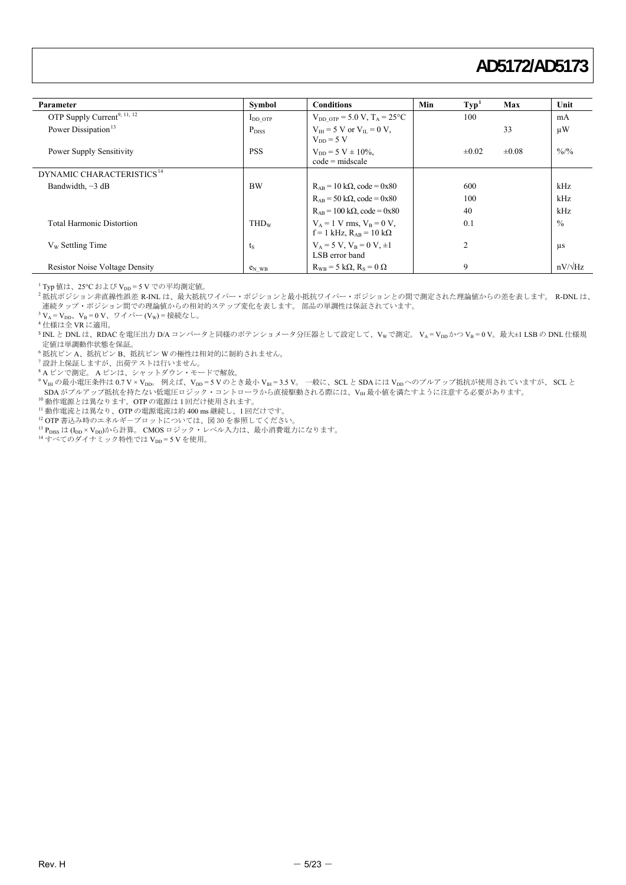| Parameter                               | Symbol               | <b>Conditions</b>                                                      | Min | $\mathbf{Typ}^1$ | Max        | Unit           |
|-----------------------------------------|----------------------|------------------------------------------------------------------------|-----|------------------|------------|----------------|
| OTP Supply Current <sup>9, 11, 12</sup> | $I_{DD$ otp          | $V_{DD OTP}$ = 5.0 V, T <sub>A</sub> = 25 <sup>o</sup> C               |     | 100              |            | mA             |
| Power Dissipation <sup>13</sup>         | $P_{DISS}$           | $V_{\text{IH}} = 5$ V or $V_{\text{II}} = 0$ V,<br>$V_{DD} = 5 V$      |     |                  | 33         | $\mu$ W        |
| Power Supply Sensitivity                | <b>PSS</b>           | $V_{DD} = 5 V \pm 10\%$ ,<br>$code = midscale$                         |     | $\pm 0.02$       | $\pm 0.08$ | $\frac{0}{0}$  |
| DYNAMIC CHARACTERISTICS <sup>14</sup>   |                      |                                                                        |     |                  |            |                |
| Bandwidth, $-3$ dB                      | <b>BW</b>            | $R_{AB} = 10 k\Omega$ , code = 0x80                                    |     | 600              |            | kHz            |
|                                         |                      | $R_{AB}$ = 50 k $\Omega$ , code = 0x80                                 |     | 100              |            | kHz            |
|                                         |                      | $R_{AB} = 100 k\Omega$ , code = 0x80                                   |     | 40               |            | kHz            |
| <b>Total Harmonic Distortion</b>        | THD <sub>w</sub>     | $V_A = 1$ V rms, $V_B = 0$ V,<br>$f = 1$ kHz, $R_{AB} = 10$ k $\Omega$ |     | 0.1              |            | $\frac{0}{0}$  |
| $Vw$ Settling Time                      | $t_{S}$              | $V_A = 5 V$ , $V_B = 0 V$ , $\pm 1$<br>LSB error band                  |     | $\overline{2}$   |            | $\mu$ s        |
| <b>Resistor Noise Voltage Density</b>   | $e_N$ w <sub>B</sub> | $R_{WB} = 5 k\Omega$ , $R_S = 0 \Omega$                                |     | 9                |            | $nV/\sqrt{Hz}$ |

<sup>1</sup> Typ 値は、25℃および V<sub>DD</sub> = 5 V での平均測定値。

<span id="page-4-1"></span><span id="page-4-0"></span>。<br>2 抵抗ポジション非直線性誤差 R-INL は、最大抵抗ワイパー・ポジションと最小抵抗ワイパー・ポジションとの間で測定された理論値からの差を表します。 R-DNL は、 連続タップ・ポジション間での理論値からの相対的ステップ変化を表します。 部品の単調性は保証されています。

<span id="page-4-2"></span> $3V_A = V_{DD}$ 、 $V_B = 0$   $V$ 、ワイパー  $(V_W) =$  接続なし。

<span id="page-4-3"></span><sup>4</sup> 仕様は全 VR に適用。

<span id="page-4-4"></span>5 INL と DNL は、RDAC を電圧出力 D/A コンバータと同様のポテンショメータ分圧器として設定して、Vwで測定。 VA = Vpp かつ VB = 0 V。最大±1 LSB の DNL 仕様規 定値は単調動作状態を保証。

<span id="page-4-5"></span><sup>6</sup> 抵抗ピン A、抵抗ピン B、抵抗ピン W の極性は相対的に制約されません。

<span id="page-4-6"></span><sup>7</sup> 設計上保証しますが、出荷テストは行いません。

<span id="page-4-7"></span>8 A ピンで測定。 A ピンは、シャットダウン・モードで解放。

<span id="page-4-8"></span><sup>9</sup> V<sub>IH</sub> の最小電圧条件は 0.7 V × V<sub>DD</sub>。 例えば、V<sub>DD</sub> = 5 V のとき最小 V<sub>IH</sub> = 3.5 V。 一般に、SCL と SDA には V<sub>DD</sub> へのプルアップ抵抗が使用されていますが、 SCL と SDA がプルアップ抵抗を持たない低電圧ロジック・コントローラから直接駆動される際には、VIH 最小値を満たすように注意する必要があります。

<span id="page-4-9"></span><sup>10</sup> 動作電源とは異なります。OTP の電源は 1 回だけ使用されます。

<span id="page-4-10"></span><sup>11</sup> 動作電流とは異なり、OTP の電源電流は約 400 ms 継続し、1 回だけです。

<span id="page-4-11"></span>12 OTP 書込み時のエネルギープロットについては、図 30 を参照してください。

<span id="page-4-12"></span><sup>13</sup> P<sub>DISS</sub> は (I<sub>DD</sub> × V<sub>DD</sub>)から計算。 CMOS ロジック・レベル入力は、最小消費電力になります。

<span id="page-4-13"></span><sup>14</sup>すべてのダイナミック特性では V<sub>DD</sub>=5Vを使用。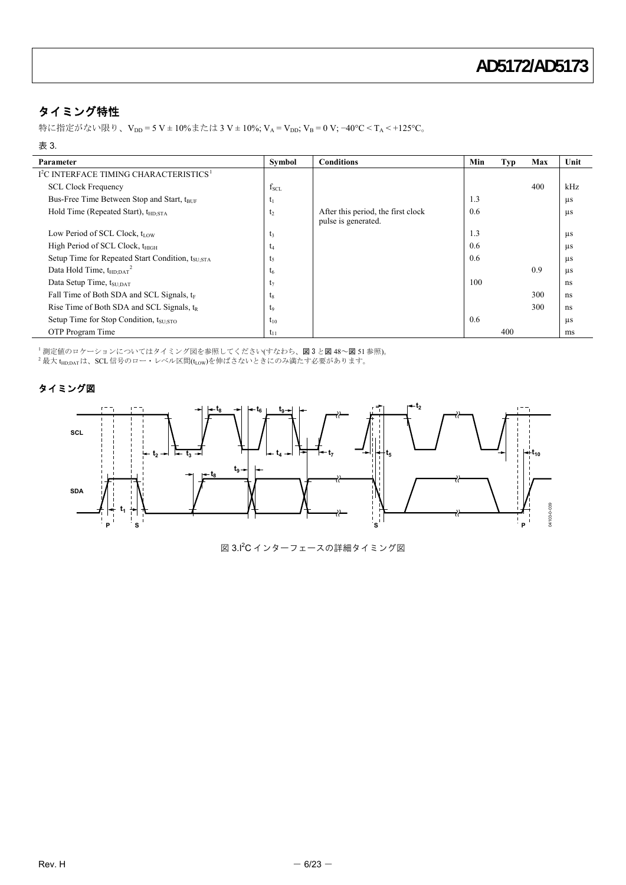### <span id="page-5-0"></span>タイミング特性

特に指定がない限り、V<sub>DD</sub> = 5 V ± 10%または 3 V ± 10%; V<sub>A</sub> = V<sub>DD</sub>; V<sub>B</sub> = 0 V; -40°C < T<sub>A</sub> < +125°C。

#### 表 3.

| Parameter                                                      | Symbol         | <b>Conditions</b>                                         | Min | Typ | Max | Unit    |
|----------------------------------------------------------------|----------------|-----------------------------------------------------------|-----|-----|-----|---------|
| I <sup>2</sup> C INTERFACE TIMING CHARACTERISTICS <sup>1</sup> |                |                                                           |     |     |     |         |
| <b>SCL Clock Frequency</b>                                     | $f_{\rm SCL}$  |                                                           |     |     | 400 | kHz     |
| Bus-Free Time Between Stop and Start, t <sub>BUF</sub>         | $t_1$          |                                                           | 1.3 |     |     | us      |
| Hold Time (Repeated Start), t <sub>HD:STA</sub>                | $t_2$          | After this period, the first clock<br>pulse is generated. | 0.6 |     |     | $\mu$ s |
| Low Period of SCL Clock, $t_{LOW}$                             | $t_3$          |                                                           | 1.3 |     |     | $\mu$ s |
| High Period of SCL Clock, t <sub>HIGH</sub>                    | t <sub>4</sub> |                                                           | 0.6 |     |     | us      |
| Setup Time for Repeated Start Condition, t <sub>SUSTA</sub>    | t,             |                                                           | 0.6 |     |     | us      |
| Data Hold Time, $t_{HD\,DAT}^2$                                | $t_6$          |                                                           |     |     | 0.9 | us      |
| Data Setup Time, t <sub>SU:DAT</sub>                           | $t_7$          |                                                           | 100 |     |     | ns      |
| Fall Time of Both SDA and SCL Signals, $t_F$                   | $t_8$          |                                                           |     |     | 300 | ns      |
| Rise Time of Both SDA and SCL Signals, $t_R$                   | t9             |                                                           |     |     | 300 | ns      |
| Setup Time for Stop Condition, t <sub>SU-STO</sub>             | $t_{10}$       |                                                           | 0.6 |     |     | $\mu$ s |
| OTP Program Time                                               | $t_{11}$       |                                                           |     | 400 |     | ms      |

<span id="page-5-2"></span><span id="page-5-1"></span><sup>1</sup> 測定値のロケーションについてはタイミング図を参照してください(すなわち、図3 と図 48~図 51 参照)。<br><sup>2</sup> 最大 t<sub>HD;DAT</sub>は、SCL 信号のロー・レベル区間(t<sub>LOW</sub>)を伸ばさないときにのみ満たす必要があります。

### タイミング図

<span id="page-5-3"></span>

図 3.I<sup>2</sup>C インターフェースの詳細タイミング図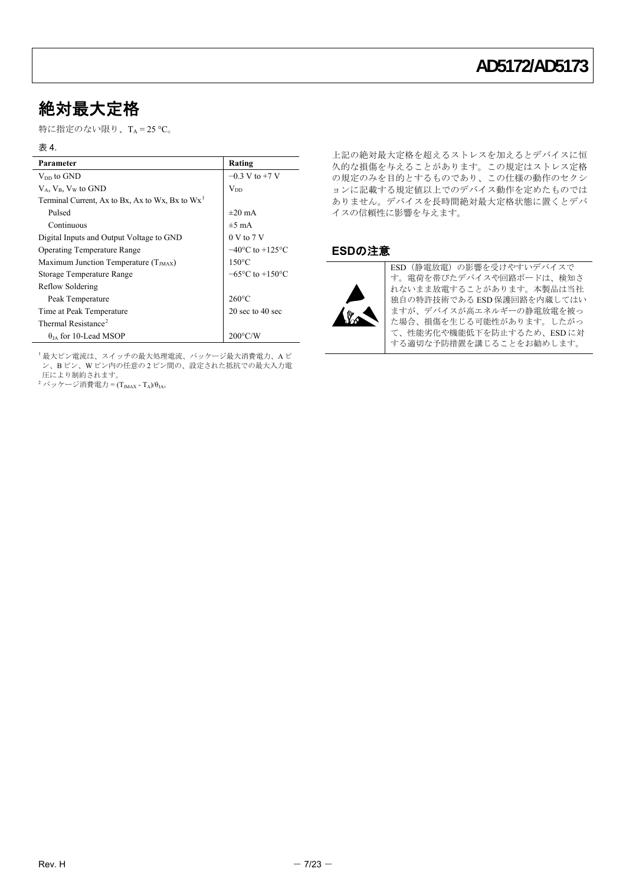# <span id="page-6-0"></span>絶対最大定格

特に指定のない限り、 $T_A = 25 \text{ }^{\circ}\text{C}_{\circ}$ 

#### 表 4.

<span id="page-6-1"></span>

| Parameter                                                   | Rating                               |
|-------------------------------------------------------------|--------------------------------------|
| $V_{DD}$ to GND                                             | $-0.3$ V to +7 V                     |
| $V_A$ , $V_B$ , $V_W$ to GND                                | $\rm V_{DD}$                         |
| Terminal Current, Ax to Bx, Ax to Wx, Bx to Wx <sup>1</sup> |                                      |
| Pulsed                                                      | $\pm 20$ mA                          |
| Continuous                                                  | $\pm 5$ mA                           |
| Digital Inputs and Output Voltage to GND                    | $0 \text{ V}$ to $7 \text{ V}$       |
| <b>Operating Temperature Range</b>                          | $-40^{\circ}$ C to $+125^{\circ}$ C  |
| Maximum Junction Temperature $(T_{\text{IMAX}})$            | $150^{\circ}$ C                      |
| Storage Temperature Range                                   | $-65^{\circ}$ C to $+150^{\circ}$ C  |
| Reflow Soldering                                            |                                      |
| Peak Temperature                                            | $260^{\circ}$ C                      |
| Time at Peak Temperature                                    | $20 \text{ sec}$ to $40 \text{ sec}$ |
| Thermal Resistance <sup>2</sup>                             |                                      |
| $\theta_{IA}$ for 10-Lead MSOP                              | $200^{\circ}$ C/                     |

<span id="page-6-2"></span><sup>1</sup> 最大ピン電流は、スイッチの最大処理電流、パッケージ最大消費電力、A ピ ン、B ピン、W ピン内の任意の 2 ピン間の、設定された抵抗での最大入力電 圧により制約されます。

<span id="page-6-3"></span> $2 \times \gamma$ ッケージ消費電力 =  $(T_{JMAX} - T_A)/\theta_{JA}$ 。

上記の絶対最大定格を超えるストレスを加えるとデバイスに恒 久的な損傷を与えることがあります。この規定はストレス定格 の規定のみを目的とするものであり、この仕様の動作のセクシ ョンに記載する規定値以上でのデバイス動作を定めたものでは ありません。デバイスを長時間絶対最大定格状態に置くとデバ イスの信頼性に影響を与えます。

#### **ESD**の注意



ESD(静電放電)の影響を受けやすいデバイスで す。電荷を帯びたデバイスや回路ボードは、検知さ れないまま放電することがあります。本製品は当社 独自の特許技術である ESD 保護回路を内蔵してはい ますが、デバイスが高エネルギーの静電放電を被っ た場合、損傷を生じる可能性があります。したがっ て、性能劣化や機能低下を防止するため、ESD に対 する適切な予防措置を講じることをお勧めします。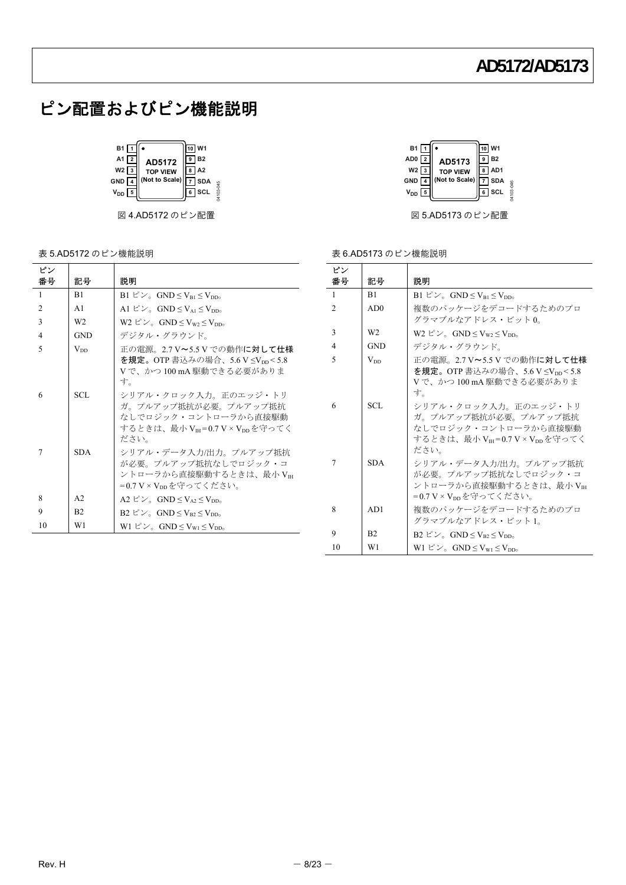# ピン配置およびピン機能説明

| 10 W1<br>$B1$ 1<br>A1 $\sqrt{2}$<br>g<br>AD5172<br>$W2$ 3<br><b>TOP VIEW</b><br>8<br>(Not to Scale)<br><b>GND</b><br>$V_{DD}$ 5 | B <sub>2</sub><br>A2<br><b>SDA</b><br>SCL<br>HE014 |
|---------------------------------------------------------------------------------------------------------------------------------|----------------------------------------------------|
|---------------------------------------------------------------------------------------------------------------------------------|----------------------------------------------------|

図 4.AD5172 のピン配置

| 表 5.AD5172 のピン機能説明 |  |  |
|--------------------|--|--|

| ピン             |                |                                                                                                                    |
|----------------|----------------|--------------------------------------------------------------------------------------------------------------------|
| 番号             | 記号             | 説明                                                                                                                 |
| $\mathbf{1}$   | B1             | B1 $E^2 \mathcal{L}$ GND $\leq V_{\text{BL}} \leq V_{\text{DD}}$                                                   |
| $\overline{2}$ | A <sub>1</sub> | A1 $E^2 \mathcal{L}$ , GND $\leq V_{Al} \leq V_{DDc}$                                                              |
| 3              | W <sub>2</sub> | W2 $\mathcal{L} \mathcal{L}$ , GND $\leq$ V <sub>w2</sub> $\leq$ V <sub>DDo</sub>                                  |
| $\overline{4}$ | <b>GND</b>     | デジタル・グラウンド。                                                                                                        |
| 5              | $V_{DD}$       | 正の雷源。2.7 V~5.5 V での動作に対して仕様<br>を規定。OTP 書込みの場合、5.6 V <v<sub>pp &lt; 5.8<br/>Vで、かつ 100 mA 駆動できる必要がありま<br/>す。</v<sub> |
| 6              | SCL.           | シリアル・クロック入力。正のエッジ・トリ<br>ガ。プルアップ抵抗が必要。プルアップ抵抗<br>なしでロジック・コントローラから直接駆動<br>するときは、最小 VH=0.7 V × Vpp を守ってく<br>ださい。      |
| 7              | <b>SDA</b>     | シリアル・データ入力/出力。プルアップ抵抗<br>が必要。プルアップ抵抗なしでロジック・コ<br>ントローラから直接駆動するときは、最小 VH<br>=0.7V×V <sub>pp</sub> を守ってください。         |
| 8              | A2             | A2 $E^2 \rightarrow \text{GND} \le V_{A2} \le V_{DD}$                                                              |
| 9              | B <sub>2</sub> | B2 $E^2 \gtrsim$ GND < $V_{\rm B2}$ < $V_{\rm D2}$                                                                 |
| 10             | W1             | W1 $E^2 \mathcal{V}$ GND $\leq$ V <sub>W1</sub> $\leq$ V <sub>DD</sub> <sub>o</sub>                                |
|                |                |                                                                                                                    |

| B <sub>1</sub> $\sqrt{1}$<br>AD0 $\sqrt{2}$<br>AD5173<br>$W2$ 3<br><b>TOP VIEW</b><br>(Not to Scale)<br><b>GND</b><br>$V_{DD}$<br>5 | $10$ W1<br>B <sub>2</sub><br>AD <sub>1</sub><br>8<br><b>SDA</b><br><b>I</b> scl | 103-046 |
|-------------------------------------------------------------------------------------------------------------------------------------|---------------------------------------------------------------------------------|---------|
|-------------------------------------------------------------------------------------------------------------------------------------|---------------------------------------------------------------------------------|---------|

図 5.AD5173 のピン配置

#### 表 6.AD5173 のピン機能説明

| ピン                       |                 |                                                                                                               |
|--------------------------|-----------------|---------------------------------------------------------------------------------------------------------------|
| 番号                       | 記号              | 説明                                                                                                            |
| $\mathbf{1}$             | B1              | B1 $E^2 \mathcal{V}$ GND $\leq V_{\text{B1}} \leq V_{\text{DD}}$                                              |
| $\overline{c}$           | AD <sub>0</sub> | 複数のパッケージをデコードするためのプロ<br>グラマブルなアドレス・ビット 0.                                                                     |
| 3                        | W <sub>2</sub>  | W2 $E^2 \mathcal{V}$ GND $\leq$ V <sub>W2</sub> $\leq$ V <sub>DD</sub> <sub>0</sub>                           |
| 4                        | <b>GND</b>      | デジタル・グラウンド。                                                                                                   |
| $\overline{\phantom{0}}$ | $V_{DD}$        | 正の雷源。2.7 V~5.5 V での動作に対して仕様<br>を規定。OTP 書込みの場合、5.6 V <vnn 5.8<br="" <="">Vで、かつ 100 mA 駆動できる必要がありま<br/>す。</vnn> |
| 6                        | SCL.            | シリアル・クロック入力。正のエッジ・トリ<br>ガ。プルアップ抵抗が必要。プルアップ抵抗<br>なしでロジック・コントローラから直接駆動<br>するときは、最小 Vш=0.7 V × Vpp を守ってく<br>ださい。 |
| 7                        | <b>SDA</b>      | シリアル・データ入力/出力。プルアップ抵抗<br>が必要。プルアップ抵抗なしでロジック・コ<br>ントローラから直接駆動するときは、最小 Vպ<br>=0.7 V×Vppを守ってください。                |
| 8                        | AD1             | 複数のパッケージをデコードするためのプロ<br>グラマブルなアドレス・ビット 1。                                                                     |
| 9                        | B2              | B2 $E^2 \mathcal{V}$ , GND $\leq V_{B2} \leq V_{DD_0}$                                                        |
| 10                       | W1              | W1 $E^2 \mathcal{V}$ GND $\leq$ V <sub>W1</sub> $\leq$ V <sub>DD</sub> <sub>o</sub>                           |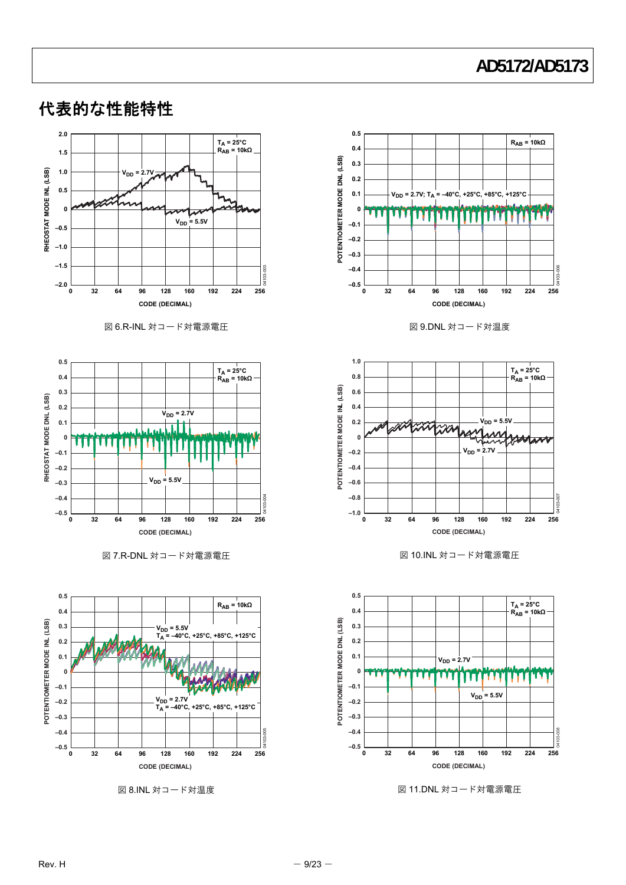

図 6.R-INL 対コード対電源電圧



図 7.R-DNL 対コード対電源電圧



図 8.INL 対コード対温度



図 9.DNL 対コード対温度



図 10.INL 対コード対電源電圧



図 11.DNL 対コード対電源電圧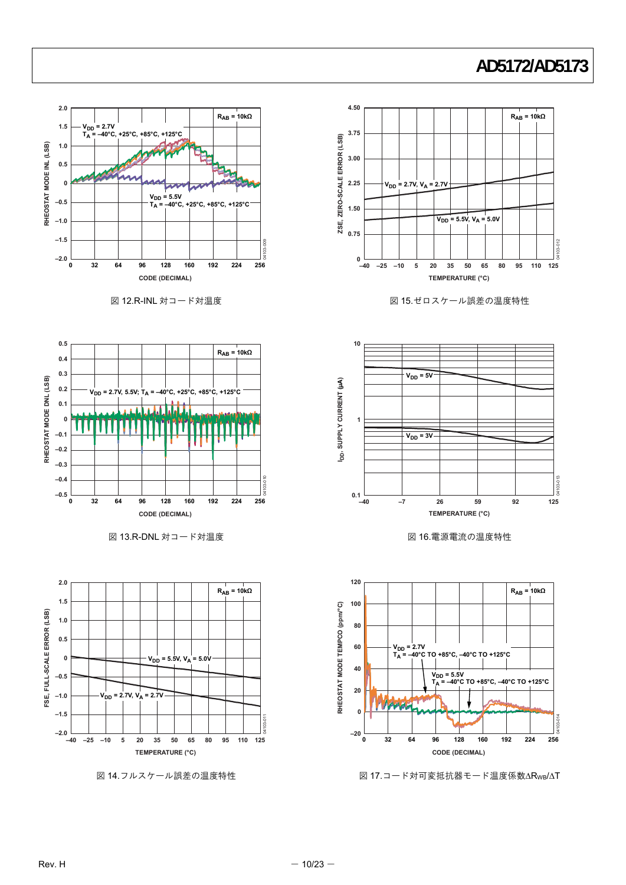

図 12.R-INL 対コード対温度



図 13.R-DNL 対コード対温度



図 14.フルスケール誤差の温度特性



図 15.ゼロスケール誤差の温度特性



図 16.電源電流の温度特性



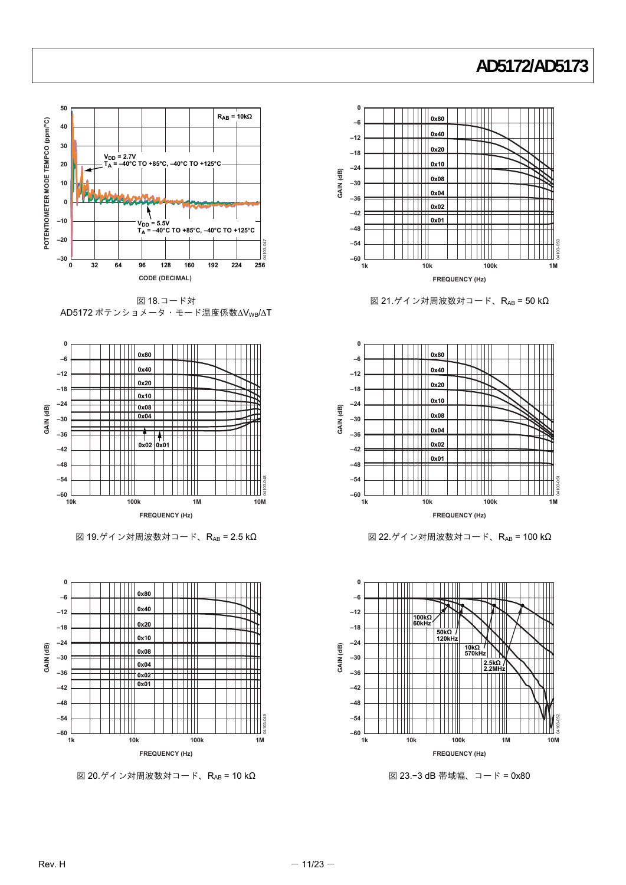

図 18.コード対 AD5172 ポテンショメータ・モード温度係数∆V<sub>WB</sub>/∆T



 $\boxtimes$  19.ゲイン対周波数対コード、RAB = 2.5 kΩ



図 20.ゲイン対周波数対コード、RAB = 10 kΩ







図 22.ゲイン対周波数対コード、RAB = 100 kΩ



図 23.−3 dB 帯域幅、コード = 0x80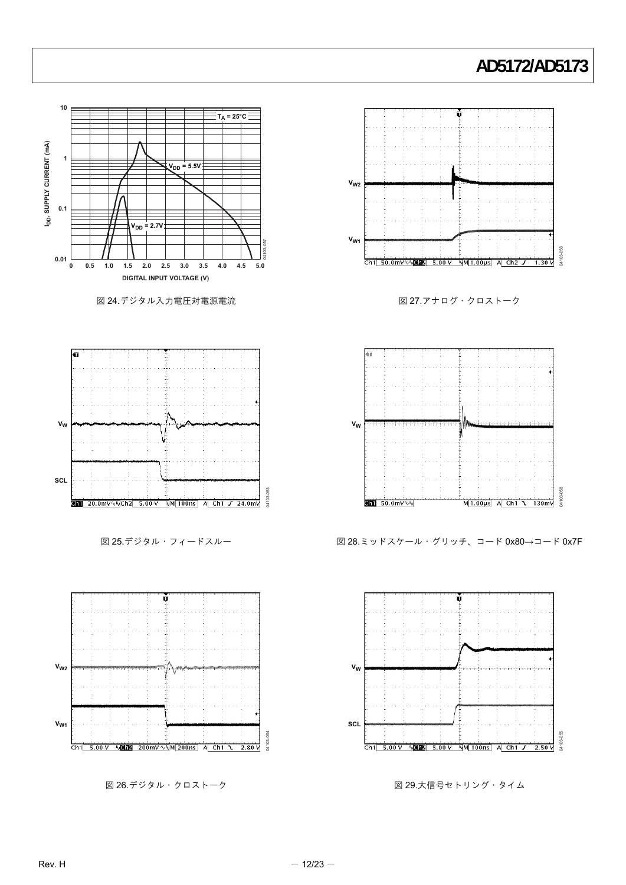



図 26.デジタル・クロストーク



図 27.アナログ・クロストーク



図 28.ミッドスケール・グリッチ、コード 0x80→コード 0x7F



図 29.大信号セトリング・タイム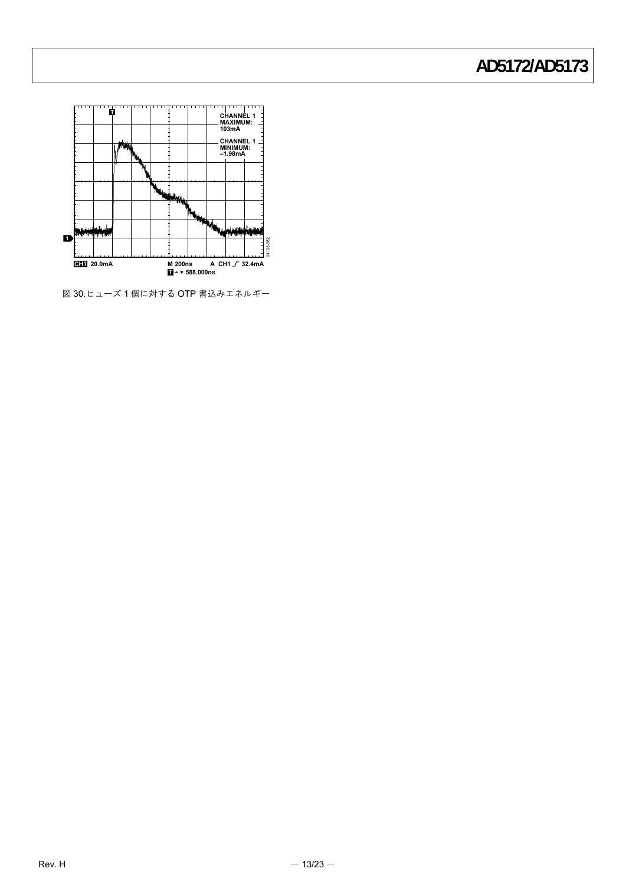

図 30.ヒューズ 1 個に対する OTP 書込みエネルギー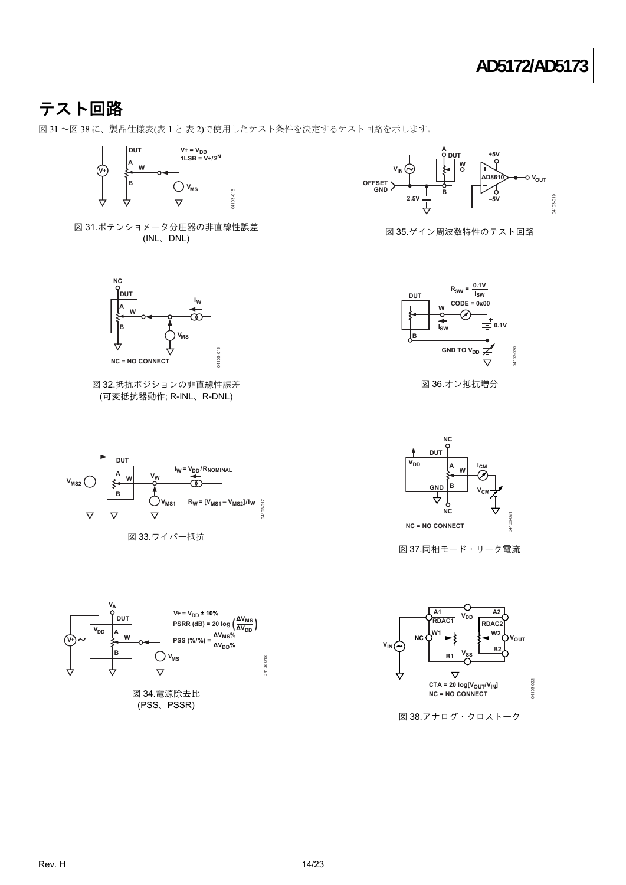## <span id="page-13-0"></span>テスト回路

図 [31](#page-13-1) ~図 [38](#page-13-2) に、製品仕様表([表](#page-2-6) 1 と [表](#page-3-19) 2)で使用したテスト条件を決定するテスト回路を示します。



<span id="page-13-1"></span>



図 35.ゲイン周波数特性のテスト回路



図 32.抵抗ポジションの非直線性誤差 (可変抵抗器動作; R-INL、R-DNL)



図 36.オン抵抗増分



図 33.ワイパー抵抗

<span id="page-13-2"></span>



図 37.同相モード・リーク電流



図 38.アナログ・クロストーク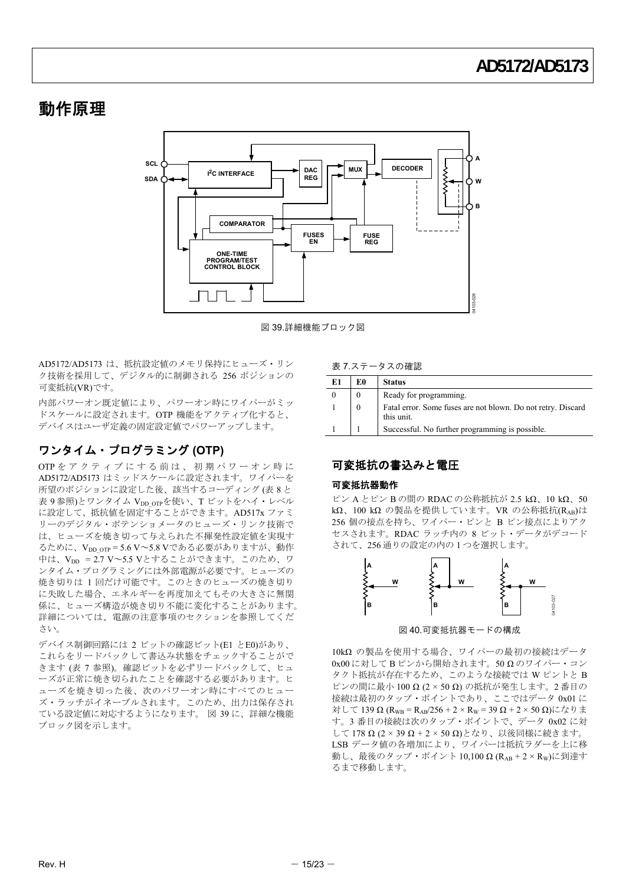# <span id="page-14-0"></span>動作原理



図 39.詳細機能ブロック図

<span id="page-14-4"></span><span id="page-14-3"></span>AD5172/AD5173 は、抵抗設定値のメモリ保持にヒューズ・リン ク技術を採用して、デジタル的に制御される 256 ポジションの 可変抵抗(VR)です。

内部パワーオン既定値により、パワーオン時にワイパーがミッ ドスケールに設定されます。OTP 機能をアクティブ化すると、 デバイスはユーザ定義の固定設定値でパワーアップします。

### <span id="page-14-1"></span>ワンタイム・プログラミング **(OTP)**

<span id="page-14-2"></span>OTP をアクティブにする前は、初期パワーオン時に AD5172/AD5173 はミッドスケールに設定されます。ワイパーを 所望のポジションに設定した後、該当するコーディング ([表](#page-15-1) 8 と [表](#page-15-2) 9 参照)とワンタイム Vpp orpを使い、T ビットをハイ・レベル に設定して、抵抗値を固定することができます。AD517x ファミ リーのデジタル・ポテンショメータのヒューズ・リンク技術で は、ヒューズを焼き切って与えられた不揮発性設定値を実現す  $\delta$ ために、V<sub>DD</sub> or  $p = 5.6$  V~5.8 Vである必要がありますが、動作 中は、Vpp = 2.7 V~5.5 Vとすることができます。このため、ワ ンタイム・プログラミングには外部電源が必要です。ヒューズの 焼き切りは 1 回だけ可能です。このときのヒューズの焼き切り に失敗した場合、エネルギーを再度加えてもその大きさに無関 係に、ヒューズ構造が焼き切り不能に変化することがあります。 詳細については、[電源の注意事項](#page-16-3)のセクションを参照してくだ さい。

デバイス制御回路には 2 ビットの確認ビット(E1 とE0)があり、 これらをリードバックして書込み状態をチェックすることがで きます ([表](#page-14-3) 7 参照)。確認ビットを必ずリードバックして、ヒュ ーズが正常に焼き切られたことを確認する必要があります。ヒ ューズを焼き切った後、次のパワーオン時にすべてのヒュー ズ・ラッチがイネーブルされます。このため、出力は保存され ている設定値に対応するようになります。 図 [39](#page-14-4) に、詳細な機能 ブロック図を示します。

| E1 | E0       | <b>Status</b>                                                              |
|----|----------|----------------------------------------------------------------------------|
|    | $\theta$ | Ready for programming.                                                     |
|    | $\theta$ | Fatal error. Some fuses are not blown. Do not retry. Discard<br>this unit. |
|    |          | Successful. No further programming is possible.                            |

### 可変抵抗の書込みと電圧

#### 可変抵抗器動作

ピン A とピン B の間の RDAC の公称抵抗が 2.5 kΩ、10 kΩ、50 kΩ、100 kΩ の製品を提供しています。VR の公称抵抗(RAB)は 256 個の接点を持ち、ワイパー・ピンと B ピン接点によりアク セスされます。RDAC ラッチ内の 8 ビット・データがデコード されて、256 通りの設定の内の 1 つを選択します。



図 40.可変抵抗器モードの構成

10kΩ の製品を使用する場合、ワイパーの最初の接続はデータ 0x00 に対して B ピンから開始されます。50 Ω のワイパー・コン タクト抵抗が存在するため、このような接続では W ピントと B ピンの間に最小 100 Ω (2 × 50 Ω) の抵抗が発生します。2 番目の 接続は最初のタップ・ポイントであり、ここではデータ 0x01 に 対して 139 Ω (R<sub>WB</sub> = R<sub>AB</sub>/256 + 2 × R<sub>W</sub> = 39 Ω + 2 × 50 Ω)になりま す。3 番目の接続は次のタップ・ポイントで、データ 0x02 に対 して 178 Ω (2 × 39 Ω + 2 × 50 Ω)となり、以後同様に続きます。 LSB データ値の各増加により、ワイパーは抵抗ラダーを上に移 動し、最後のタップ・ポイント 10,100 Ω (R<sub>AB</sub> + 2 × R<sub>W</sub>)に到達す るまで移動します。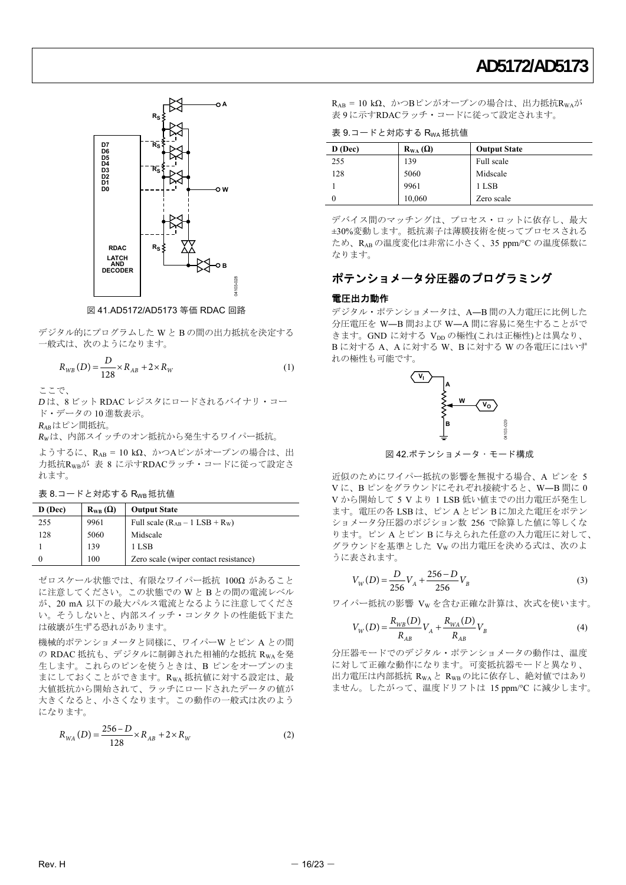<span id="page-15-2"></span>

図 41.AD5172/AD5173 等価 RDAC 回路

<span id="page-15-0"></span>デジタル的にプログラムした W と B の間の出力抵抗を決定する 一般式は、次のようになります。

$$
R_{WB}(D) = \frac{D}{128} \times R_{AB} + 2 \times R_{W}
$$
 (1)

ここで、

*D* は、8 ビット RDAC レジスタにロードされるバイナリ・コー ド・データの 10 進数表示。

*RAB*はピン間抵抗。

*RW*は、内部スイッチのオン抵抗から発生するワイパー抵抗。

ようするに、RAB = 10 kΩ、かつAピンがオープンの場合は、出 力抵抗RwBが [表](#page-15-1) 8 に示すRDACラッチ・コードに従って設定さ れます。

|  | 表 8.コードと対応する $R_{WB}$ 抵抗値 |  |
|--|---------------------------|--|
|--|---------------------------|--|

<span id="page-15-1"></span>

| D (Dec) | $R_{WB}(\Omega)$ | <b>Output State</b>                         |
|---------|------------------|---------------------------------------------|
| 255     | 9961             | Full scale $(R_{AB} - 1 \text{ LSB} + R_W)$ |
| 128     | 5060             | Midscale                                    |
|         | 139              | 1 LSB                                       |
|         | 100              | Zero scale (wiper contact resistance)       |

ゼロスケール状態では、有限なワイパー抵抗 100Ω があること に注意してください。この状態での W と B との間の電流レベル が、20 mA 以下の最大パルス電流となるように注意してくださ い。そうしないと、内部スイッチ・コンタクトの性能低下また は破壊が生ずる恐れがあります。

機械的ポテンショメータと同様に、ワイパーW とピン A との間 の RDAC 抵抗も、デジタルに制御された相補的な抵抗 RWAを発 生します。これらのピンを使うときは、B ピンをオープンのま まにしておくことができます。RwA 抵抗値に対する設定は、最 大値抵抗から開始されて、ラッチにロードされたデータの値が 大きくなると、小さくなります。この動作の一般式は次のよう になります。

$$
R_{WA}(D) = \frac{256 - D}{128} \times R_{AB} + 2 \times R_W
$$
 (2)

 $R<sub>AP</sub>$  = 10 kΩ、かつΒピンがオープンの場合は、出力抵抗 $R<sub>WA</sub>$ が [表](#page-15-2) 9 に示すRDACラッチ・コードに従って設定されます。

表  $9.$ コードと対応する  $R_{WA}$ 抵抗値

| D (Dec) | $R_{WA}(\Omega)$ | <b>Output State</b> |  |
|---------|------------------|---------------------|--|
| 255     | 139              | Full scale          |  |
| 128     | 5060             | Midscale            |  |
|         | 9961             | 1 LSB               |  |
|         | 10,060           | Zero scale          |  |

デバイス間のマッチングは、プロセス・ロットに依存し、最大 ±30%変動します。抵抗素子は薄膜技術を使ってプロセスされる ため、RAB の温度変化は非常に小さく、35 ppm/°C の温度係数に なります。

### ポテンショメータ分圧器のプログラミング

#### 電圧出力動作

デジタル・ポテンショメータは、A―B 間の入力電圧に比例した 分圧電圧を W―B 間および W―A 間に容易に発生することがで きます。GND に対する VDD の極性(これは正極性)とは異なり、 B に対する A、A に対する W、B に対する W の各電圧にはいず れの極性も可能です。



図 42.ポテンショメータ・モード構成

近似のためにワイパー抵抗の影響を無視する場合、A ピンを 5 V に、B ピンをグラウンドにそれぞれ接続すると、W―B 間に 0 V から開始して 5 V より 1 LSB 低い値までの出力電圧が発生し ます。電圧の各 LSB は、ピン A とピン B に加えた電圧をポテン ショメータ分圧器のポジション数 256 で除算した値に等しくな ります。ピン A とピン B に与えられた任意の入力電圧に対して、 グラウンドを基準とした Vw の出力電圧を決める式は、次のよ うに表されます。

$$
V_W(D) = \frac{D}{256}V_A + \frac{256 - D}{256}V_B
$$
 (3)

ワイパー抵抗の影響 Vw を含む正確な計算は、次式を使います。

$$
V_W(D) = \frac{R_{WB}(D)}{R_{AB}} V_A + \frac{R_{WA}(D)}{R_{AB}} V_B
$$
\n(4)

分圧器モードでのデジタル・ポテンショメータの動作は、温度 に対して正確な動作になります。可変抵抗器モードと異なり、 出力電圧は内部抵抗 RwAと RwBの比に依存し、絶対値ではあり ません。したがって、温度ドリフトは 15 ppm/°C に減少します。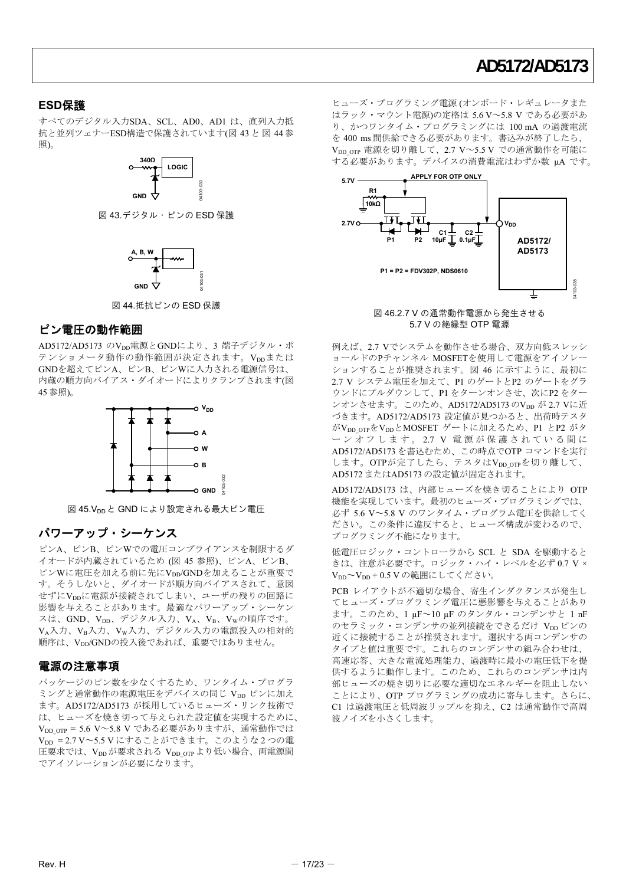#### **ESD**保護

すべてのデジタル入力SDA、SCL、AD0、AD1 は、直列入力抵 抗と並列ツェナーESD構造で保護されています(図 [43](#page-16-4) と 図 [44](#page-16-5) 参 照)。



<span id="page-16-4"></span>図 43.デジタル・ピンの ESD 保護



図 44.抵抗ピンの ESD 保護

#### <span id="page-16-7"></span><span id="page-16-5"></span>ピン電圧の動作範囲

<span id="page-16-1"></span>AD5172/AD5173 のV<sub>pp</sub>電源とGNDにより、3 端子デジタル・ポ テンショメータ動作の動作範囲が決定されます。Vppまたは GNDを超えてピンA、ピンB、ピンWに入力される電源信号は、 内蔵の順方向バイアス・ダイオードによりクランプされます([図](#page-16-6) [45](#page-16-6) 参照)。



図 45.Vppと GND により設定される最大ピン電圧

### <span id="page-16-6"></span><span id="page-16-2"></span>パワーアップ・シーケンス

ピンA、ピンB、ピンWでの電圧コンプライアンスを制限するダ イオードが内蔵されているため (図 [45](#page-16-6) 参照)、ピンA、ピンB、 ピンWに電圧を加える前に先にVpp/GNDを加えることが重要で す。そうしないと、ダイオードが順方向バイアスされて、意図 せずにVppに電源が接続されてしまい、ユーザの残りの回路に 影響を与えることがあります。最適なパワーアップ・シーケン スは、GND、VDD、デジタル入力、VA、VB、Vwの順序です。 VA入力、VB入力、VW入力、デジタル入力の電源投入の相対的 順序は、Vpp/GNDの投入後であれば、重要ではありません。

#### <span id="page-16-3"></span>電源の注意事項

<span id="page-16-0"></span>パッケージのピン数を少なくするため、ワンタイム・プログラ ミングと通常動作の電源電圧をデバイスの同じ Vpp ピンに加え ます。AD5172/AD5173 が採用しているヒューズ・リンク技術で は、ヒューズを焼き切って与えられた設定値を実現するために、  $V_{DD~OTP}$  = 5.6 V $\sim$ 5.8 V である必要がありますが、通常動作では  $V_{DD}$  = 2.7 V~5.5 V にすることができます。このような2つの電 圧要求では、Vppが要求される Vpp orp より低い場合、両電源間 でアイソレーションが必要になります。

ヒューズ・プログラミング電源 (オンボード・レギュレータまた はラック・マウント電源)の定格は 5.6 V~5.8 V である必要があ り、かつワンタイム・プログラミングには 100 mA の過渡電流 を 400 ms 間供給できる必要があります。書込みが終了したら、 VDD OTP 電源を切り離して、2.7 V~5.5 V での通常動作を可能に する必要があります。デバイスの消費電流はわずか数 μA です。



図 46.2.7 V の通常動作電源から発生させる 5.7 V の絶縁型 OTP 電源

例えば、2.7 Vでシステムを動作させる場合、双方向低スレッシ ョールドのPチャンネル MOSFETを使用して電源をアイソレー ションすることが推奨されます。図 [46](#page-16-7) に示すように、最初に 2.7 V システム電圧を加えて、P1 のゲートとP2 のゲートをグラ ウンドにプルダウンして、P1 をターンオンさせ、次にP2 をター ンオンさせます。このため、AD5172/AD5173 のVpp が 2.7 Vに近 づきます。AD5172/AD5173 設定値が見つかると、出荷時テスタ がV<sub>DD</sub> orpをV<sub>DD</sub>とMOSFET ゲートに加えるため、P1 とP2 がタ ーンオフします。 2.7 V 電源が保護されている間に AD5172/AD5173 を書込むため、この時点でOTP コマンドを実行 します。OTPが完了したら、テスタはVpp orpを切り離して、 AD5172 またはAD5173 の設定値が固定されます。

AD5172/AD5173 は、内部ヒューズを焼き切ることにより OTP 機能を実現しています。最初のヒューズ・プログラミングでは、 必ず 5.6 V~5.8 V のワンタイム・プログラム電圧を供給してく ださい。この条件に違反すると、ヒューズ構成が変わるので、 プログラミング不能になります。

低電圧ロジック・コントローラから SCL と SDA を駆動すると きは、注意が必要です。ロジック・ハイ・レベルを必ず 0.7 V ×  $V_{DD}$ ~ $V_{DD}$  + 0.5 V の範囲にしてください。

PCB レイアウトが不適切な場合、寄生インダクタンスが発生し てヒューズ・プログラミング電圧に悪影響を与えることがあり ます。このため、1 µF~10 µF のタンタル・コンデンサと 1 nF のセラミック・コンデンサの並列接続をできるだけ Vpp ピンの 近くに接続することが推奨されます。選択する両コンデンサの タイプと値は重要です。これらのコンデンサの組み合わせは、 高速応答、大きな電流処理能力、過渡時に最小の電圧低下を提 供するように動作します。このため、これらのコンデンサは内 部ヒューズの焼き切りに必要な適切なエネルギーを阻止しない ことにより、OTP プログラミングの成功に寄与します。さらに、 C1 は過渡電圧と低周波リップルを抑え、C2 は通常動作で高周 波ノイズを小さくします。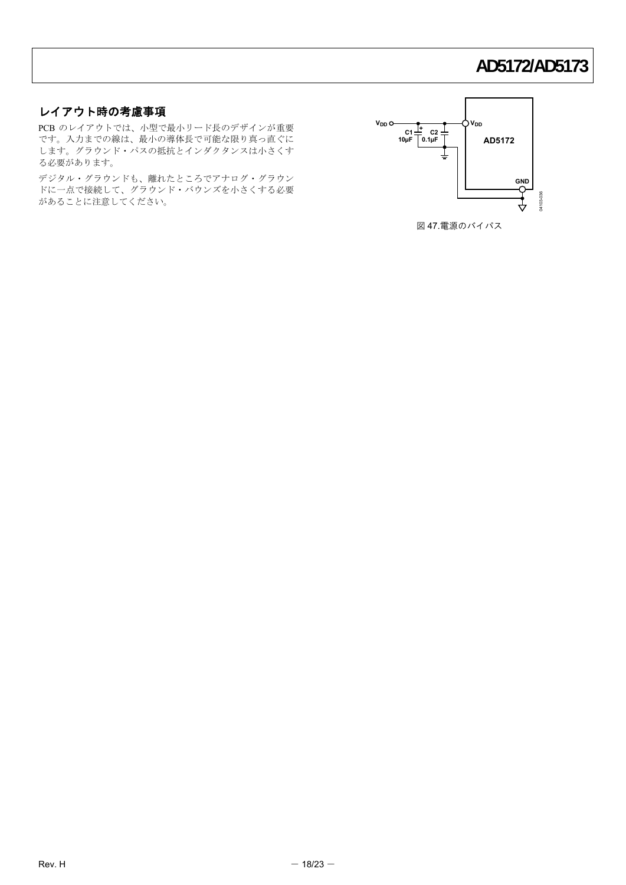### <span id="page-17-0"></span>レイアウト時の考慮事項

PCB のレイアウトでは、小型で最小リード長のデザインが重要 です。入力までの線は、最小の導体長で可能な限り真っ直ぐに します。グラウンド・パスの抵抗とインダクタンスは小さくす る必要があります。

デジタル・グラウンドも、離れたところでアナログ・グラウン ドに一点で接続して、グラウンド・バウンズを小さくする必要 があることに注意してください。



図 47.電源のバイパス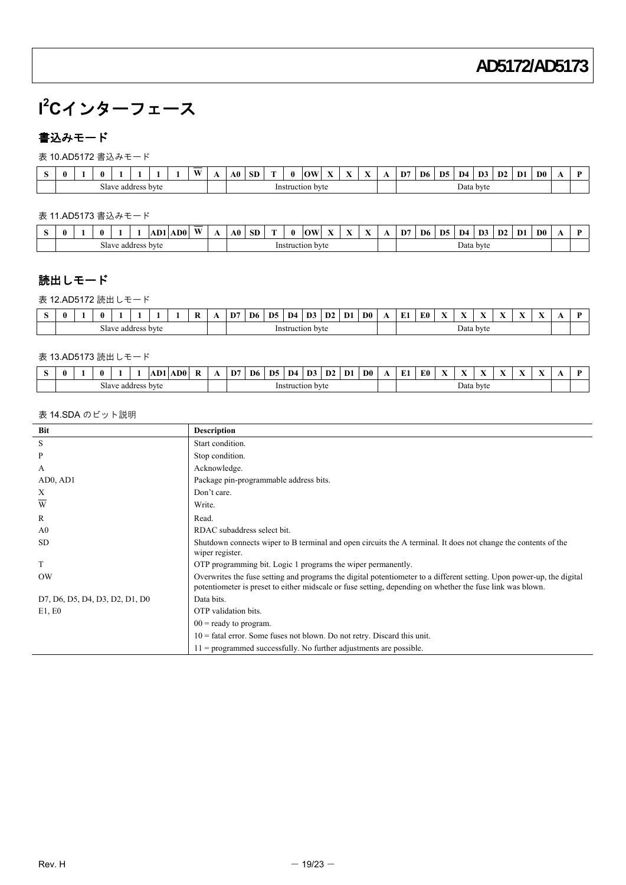# <span id="page-18-0"></span>**I 2 C**インターフェース

### <span id="page-18-1"></span>書込みモード

表 10.AD5172 書込みモード

| ຼ | 0 |            |                |  | V | <br>. . | A0 | SЕ | <b>CONTRACTOR</b> | -01         | $\sim$ $\sim$<br>ີ | <b>The State of Street</b> | $\overline{\phantom{a}}$ |  | D' | D <sub>6</sub> | D <sub>5</sub> | D4                  | D2 | D <sub>1</sub> | D <sub>0</sub> | $\mathbf{r}$ |
|---|---|------------|----------------|--|---|---------|----|----|-------------------|-------------|--------------------|----------------------------|--------------------------|--|----|----------------|----------------|---------------------|----|----------------|----------------|--------------|
|   |   | -<br>Slave | : address byte |  |   |         |    |    |                   | Instruction | n bvte             |                            |                          |  |    |                |                | $\sim$<br>Data byte |    |                |                |              |

表 11.AD5173 書込みモード

| ຼ | 0 |       |                | $\sim$<br>ıν | AD0 | $\overline{\phantom{a}}$<br>w | $\overline{\phantom{a}}$ | A0 | SE | <b>CONTRACTOR</b> | -0 | $\sim$<br>ີ      | <b>XX</b><br>$\sim$ | $\sim$<br>-439 | $-$ | D. | D <sub>6</sub> | D <sub>5</sub> | D4     | D3     | D2 | D | D <sub>0</sub> |  |
|---|---|-------|----------------|--------------|-----|-------------------------------|--------------------------|----|----|-------------------|----|------------------|---------------------|----------------|-----|----|----------------|----------------|--------|--------|----|---|----------------|--|
|   |   | Slave | e address byte |              |     |                               |                          |    |    |                   |    | Instruction byte |                     |                |     |    |                |                | Data ' | . byte |    |   |                |  |

### <span id="page-18-2"></span>読出しモード

表 12.AD5172 読出しモード

| $\sim$ | 0 |                 |                |  | -<br> | $\mathbf{r}$<br>D | D <sub>6</sub> | D <sub>5</sub> | D <sub>4</sub> | $\sim$<br>D3 | D <sub>2</sub> | D <sub>1</sub> | D <sub>0</sub> |  | E0 | <b>The State of Street</b> | $\mathbf{v}$<br>. . | $-$<br> | $-1$<br> | $ -$<br>$\overline{\phantom{a}}$ |  |
|--------|---|-----------------|----------------|--|-------|-------------------|----------------|----------------|----------------|--------------|----------------|----------------|----------------|--|----|----------------------------|---------------------|---------|----------|----------------------------------|--|
|        |   | $\sim$<br>laveد | e address byte |  |       |                   |                | Instr          |                | ruction byte |                |                |                |  |    | Data byte                  |                     |         |          |                                  |  |

#### 表 13.AD5173 読出しモード

| . . | 0                                           |  | Λ<br>v |  |  | $\mathbf{r}$ | D0 | - | $\sim$ | D. | D6 | D <sub>5</sub> | D <sub>4</sub> | D <sub>3</sub> | D2 | D <sub>1</sub> | D <sub>0</sub> | <b>TIME</b> | E <sub>0</sub> | -- | $\sim$ |  | $\sim$ | -- | $\sim$<br>$\overline{\phantom{a}}$ |  |
|-----|---------------------------------------------|--|--------|--|--|--------------|----|---|--------|----|----|----------------|----------------|----------------|----|----------------|----------------|-------------|----------------|----|--------|--|--------|----|------------------------------------|--|
|     | Instruction byte<br>e address byte<br>Slave |  |        |  |  |              |    |   |        |    |    |                |                | Data byte      |    |                |                |             |                |    |        |  |        |    |                                    |  |

# \_\_\_\_<br>\_\_\_\_\_\_\_\_<br>\_\_\_\_\_\_\_\_

| Bit                            | <b>Description</b>                                                                                                                                                                                                                 |
|--------------------------------|------------------------------------------------------------------------------------------------------------------------------------------------------------------------------------------------------------------------------------|
| S                              | Start condition.                                                                                                                                                                                                                   |
| P                              | Stop condition.                                                                                                                                                                                                                    |
| $\mathbf{A}$                   | Acknowledge.                                                                                                                                                                                                                       |
| AD0, AD1                       | Package pin-programmable address bits.                                                                                                                                                                                             |
| X                              | Don't care.                                                                                                                                                                                                                        |
| $\overline{w}$                 | Write.                                                                                                                                                                                                                             |
| R                              | Read.                                                                                                                                                                                                                              |
| A <sub>0</sub>                 | RDAC subaddress select bit.                                                                                                                                                                                                        |
| <b>SD</b>                      | Shutdown connects wiper to B terminal and open circuits the A terminal. It does not change the contents of the<br>wiper register.                                                                                                  |
| T                              | OTP programming bit. Logic 1 programs the wiper permanently.                                                                                                                                                                       |
| <b>OW</b>                      | Overwrites the fuse setting and programs the digital potentiometer to a different setting. Upon power-up, the digital<br>potentiometer is preset to either midscale or fuse setting, depending on whether the fuse link was blown. |
| D7, D6, D5, D4, D3, D2, D1, D0 | Data bits.                                                                                                                                                                                                                         |
| E1, E0                         | OTP validation bits.                                                                                                                                                                                                               |
|                                | $00$ = ready to program.                                                                                                                                                                                                           |
|                                | $10$ = fatal error. Some fuses not blown. Do not retry. Discard this unit.                                                                                                                                                         |
|                                | $11$ = programmed successfully. No further adjustments are possible.                                                                                                                                                               |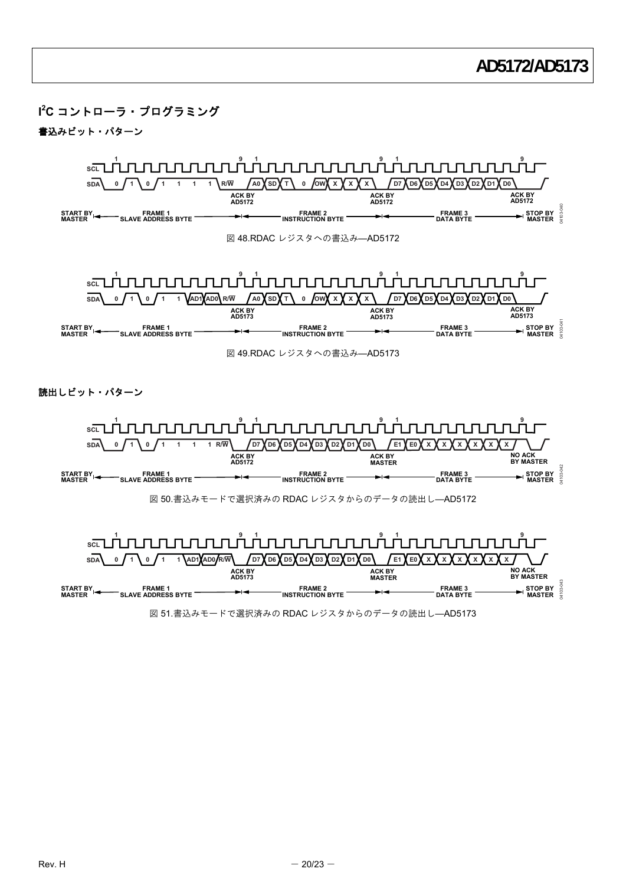<span id="page-19-0"></span>**I 2 C** コントローラ・プログラミング

書込みビット・パターン

<span id="page-19-2"></span><span id="page-19-1"></span>

<span id="page-19-4"></span><span id="page-19-3"></span>図 51.書込みモードで選択済みの RDAC レジスタからのデータの読出し—AD5173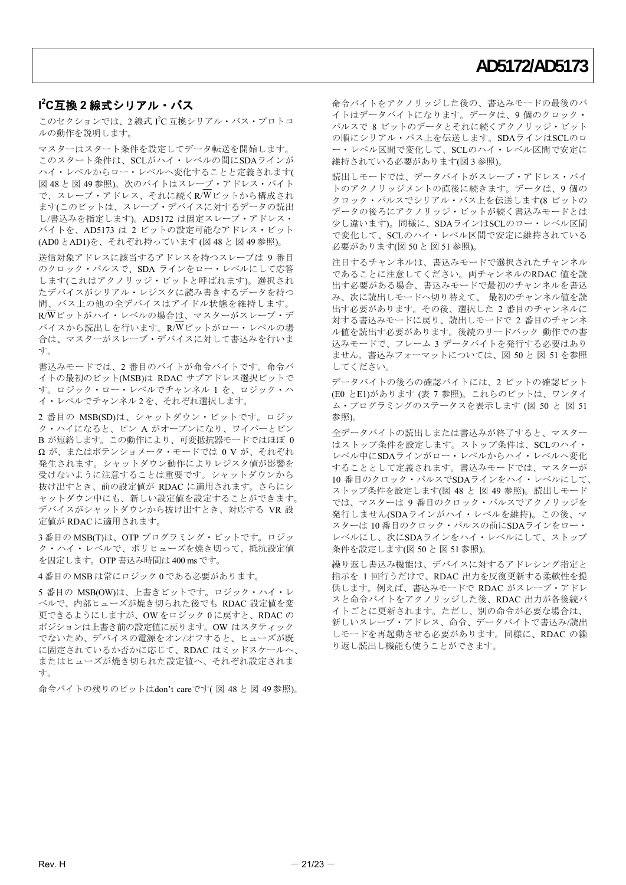### <span id="page-20-0"></span>**I 2 C**互換 **2** 線式シリアル・バス

このセクションでは、2線式 I2C 互換シリアル・バス・プロトコ ルの動作を説明します。

マスターはスタート条件を設定してデータ転送を開始します。 このスタート条件は、SCLがハイ・レベルの間にSDAラインが ハイ・レベルからロー・レベルへ変化することと定義されます( 図 [48](#page-19-1) と 図 [49](#page-19-2) 参照)。次のバイトはスレーブ・アドレス・バイト で、スレーブ・アドレス、それに続くR/Wビットから構成され ます(このビットは、スレーブ・デバイスに対するデータの読出 し/書込みを指定します)。AD5172 は固定スレーブ・アドレス・ バイトを、AD5173 は 2 ビットの設定可能なアドレス・ビット (AD0 とAD1)を、それぞれ持っています (図 [48](#page-19-1) と 図 [49](#page-19-2) 参照)。

送信対象アドレスに該当するアドレスを持つスレーブは 9 番目 のクロック・パルスで、SDA ラインをロー・レベルにして応答 します(これはアクノリッジ・ビットと呼ばれます)。選択され たデバイスがシリアル・レジスタに読み書きするデータを待つ 間、バス上の他の全デバイスはアイドル状態を維持します。 R/Wビットがハイ・レベルの場合は、マスターがスレーブ・デ バイスから読出しを行います。R/Wビットがロー・レベルの場 合は、マスターがスレーブ・デバイスに対して書込みを行いま す。

書込みモードでは、2 番目のバイトが命令バイトです。命令バ イトの最初のビット(MSB)は RDAC サブアドレス選択ビットで す。ロジック・ロー・レベルでチャンネル 1 を、ロジック・ハ イ・レベルでチャンネル2を、それぞれ選択します。

2 番目の MSB(SD)は、シャットダウン・ビットです。ロジッ ク・ハイになると、ピン A がオープンになり、ワイパーとピン B が短絡します。この動作により、可変抵抗器モードではほぼ 0 Ω が、またはポテンショメータ・モードでは 0 V が、それぞれ 発生されます。シャットダウン動作によりレジスタ値が影響を 受けないように注意することは重要です。シャットダウンから 抜け出すとき、前の設定値が RDAC に適用されます。さらにシ ャットダウン中にも、新しい設定値を設定することができます。 デバイスがシャットダウンから抜け出すとき、対応する VR 設 定値が RDAC に適用されます。

3 番目の MSB(T)は、OTP プログラミング・ビットです。ロジッ ク・ハイ・レベルで、ポリヒューズを焼き切って、抵抗設定値 を固定します。OTP 書込み時間は 400 ms です。

4 番目の MSB は常にロジック 0 である必要があります。

5 番目の MSB(OW)は、上書きビットです。ロジック・ハイ・レ ベルで、内部ヒューズが焼き切られた後でも RDAC 設定値を変 更できるようにしますが、OW をロジック 0 に戻すと、RDAC の ポジションは上書き前の設定値に戻ります。OW はスタティック でないため、デバイスの電源をオン/オフすると、ヒューズが既 に固定されているか否かに応じて、RDAC はミッドスケールへ、 またはヒューズが焼き切られた設定値へ、それぞれ設定されま す。

命令バイトの残りのビットはdon't careです( 図 [48](#page-19-1) と 図 [49](#page-19-2) 参照)。

命令バイトをアクノリッジした後の、書込みモードの最後のバ イトはデータバイトになります。データは、9 個のクロック・ パルスで 8 ビットのデータとそれに続くアクノリッジ・ビット の順にシリアル・バス上を伝送します。SDAラインはSCLのロ ー・レベル区間で変化して、SCLのハイ・レベル区間で安定に 維持されている必要があります([図](#page-5-3) 3 参照)。

読出しモードでは、データバイトがスレーブ・アドレス・バイ トのアクノリッジメントの直後に続きます。データは、9 個の クロック・パルスでシリアル・バス上を伝送します(8 ビットの データの後ろにアクノリッジ・ビットが続く書込みモードとは 少し違います)。同様に、SDAラインはSCLのロー・レベル区間 で変化して、SCLのハイ・レベル区間で安定に維持されている 必要があります(図 [50](#page-19-3) と 図 [51](#page-19-4) 参照)。

注目するチャンネルは、書込みモードで選択されたチャンネル であることに注意してください。両チャンネルのRDAC 値を読 出す必要がある場合、書込みモードで最初のチャンネルを書込 み、次に読出しモードへ切り替えて、 最初のチャンネル値を読 出す必要があります。その後、選択した 2 番目のチャンネルに 対する書込みモードに戻り、読出しモードで 2 番目のチャンネ ル値を読出す必要があります。後続のリードバック 動作での書 込みモードで、フレーム 3 データバイトを発行する必要はあり ません。書込みフォーマットについては、図 [50](#page-19-3) と 図 [51](#page-19-4) を参照 してください。

データバイトの後ろの確認バイトには、2 ビットの確認ビット (E0 とE1)があります ([表](#page-14-3) 7 参照)。これらのビットは、ワンタイ ム・プログラミングのステータスを表示します (図 [50](#page-19-3) と 図 [51](#page-19-4) 参照)。

全データバイトの読出しまたは書込みが終了すると、マスター はストップ条件を設定します。ストップ条件は、SCLのハイ・ レベル中にSDAラインがロー・レベルからハイ・レベルへ変化 することとして定義されます。書込みモードでは、マスターが 10 番目のクロック・パルスでSDAラインをハイ・レベルにして、 ストップ条件を設定します(図 [48](#page-19-1) と 図 [49](#page-19-2) 参照)。読出しモード では、マスターは 9 番目のクロック・パルスでアクノリッジを 発行しません(SDAラインがハイ・レベルを維持)。この後、マ スターは 10 番目のクロック・パルスの前にSDAラインをロー・ レベルにし、次にSDAラインをハイ・レベルにして、ストップ 条件を設定します(図 [50](#page-19-3) と 図 [51](#page-19-4) 参照)。

繰り返し書込み機能は、デバイスに対するアドレシング指定と 指示を 1 回行うだけで、RDAC 出力を反復更新する柔軟性を提 供します。例えば、書込みモードで RDAC がスレーブ・アドレ スと命令バイトをアクノリッジした後、RDAC 出力が各後続バ イトごとに更新されます。ただし、別の命令が必要な場合は、 新しいスレーブ・アドレス、命令、データバイトで書込み/読出 しモードを再起動させる必要があります。同様に、RDAC の繰 り返し読出し機能も使うことができます。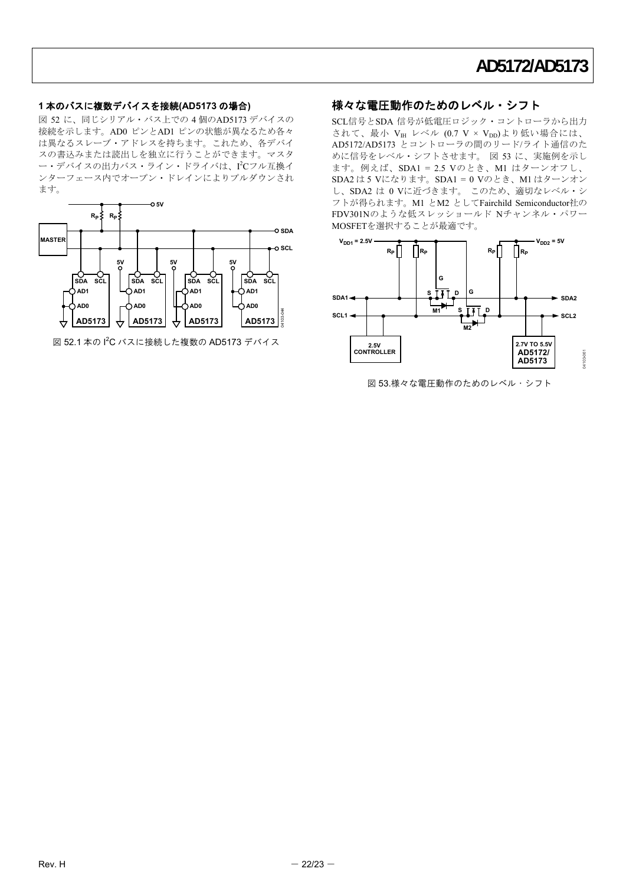#### **1** 本のバスに複数デバイスを接続**(AD5173** の場合**)**

<span id="page-21-0"></span>図 [52](#page-21-1) に、同じシリアル・バス上での 4 個のAD5173 デバイスの 接続を示します。AD0 ピンとAD1 ピンの状態が異なるため各々 は異なるスレーブ・アドレスを持ちます。これため、各デバイ スの書込みまたは読出しを独立に行うことができます。マスタ ー・デバイスの出力バス・ライン・ドライバは、I2Cフル互換イ ンターフェース内でオープン・ドレインによりプルダウンされ ます。



<span id="page-21-2"></span><span id="page-21-1"></span>図 52.1 本の I2C バスに接続した複数の AD5173 デバイス

#### 様々な電圧動作のためのレベル・シフト

SCL信号とSDA 信号が低電圧ロジック・コントローラから出力 されて、最小 VH レベル (0.7 V × V<sub>DD</sub>)より低い場合には、 AD5172/AD5173 とコントローラの間のリード/ライト通信のた めに信号をレベル・シフトさせます。 図 [53](#page-21-2) に、実施例を示し ます。例えば、SDA1 = 2.5 Vのとき、M1 はターンオフし、 SDA2 は 5 Vになります。SDA1 = 0 Vのとき、M1 はターンオン し、SDA2 は 0 Vに近づきます。 このため、適切なレベル・シ フトが得られます。M1 とM2 としてFairchild Semiconductor社の FDV301Nのような低スレッショールド Nチャンネル・パワー MOSFETを選択することが最適です。



図 53.様々な電圧動作のためのレベル・シフト